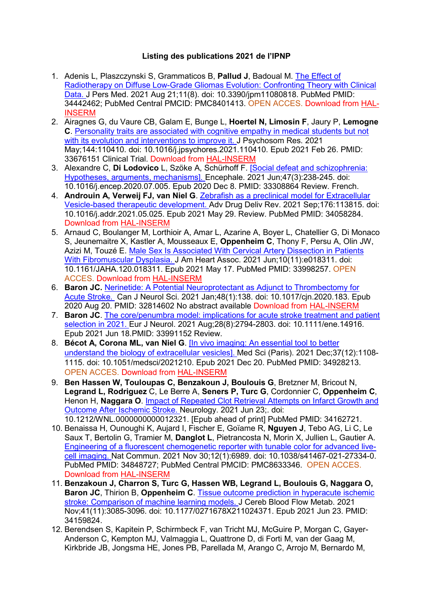## **Listing des publications 2021 de l'IPNP**

- 1. Adenis L, Plaszczynski S, Grammaticos B, **Pallud J**, Badoual M. [The Effect of](https://www.ncbi.nlm.nih.gov/pubmed/34442462/)  [Radiotherapy on Diffuse Low-Grade Gliomas Evolution: Confronting Theory with Clinical](https://www.ncbi.nlm.nih.gov/pubmed/34442462/)  [Data. J](https://www.ncbi.nlm.nih.gov/pubmed/34442462/) Pers Med. 2021 Aug 21;11(8). doi: 10.3390/jpm11080818. PubMed PMID: 34442462; PubMed Central PMCID: PMC8401413. OPEN ACCES. Download from [HAL-](https://www.hal.inserm.fr/inserm-03341970)[INSERM](https://www.hal.inserm.fr/inserm-03341970)
- 2. Airagnes G, du Vaure CB, Galam E, Bunge L, **Hoertel N, Limosin F**, Jaury P, **Lemogne C**. [Personality traits are associated with cognitive empathy in medical students but not](https://www.ncbi.nlm.nih.gov/pubmed/33676151/)  [with its evolution and interventions to improve it. J](https://www.ncbi.nlm.nih.gov/pubmed/33676151/) Psychosom Res. 2021 May;144:110410. doi: 10.1016/j.jpsychores.2021.110410. Epub 2021 Feb 26. PMID: 33676151 Clinical Trial. Download from [HAL-INSERM](https://hal-univ-paris.archives-ouvertes.fr/hal-03236132)
- 3. Alexandre C, **Di Lodovico** L, Szöke A, Schürhoff F. [\[Social defeat and schizophrenia:](https://www.ncbi.nlm.nih.gov/pubmed/33308864/)  [Hypotheses, arguments, mechanisms\]. E](https://www.ncbi.nlm.nih.gov/pubmed/33308864/)ncephale. 2021 Jun;47(3):238-245. doi: 10.1016/j.encep.2020.07.005. Epub 2020 Dec 8. PMID: 33308864 Review. French.
- 4. **Androuin A, Verweij FJ, van Niel G**. [Zebrafish as a preclinical model for Extracellular](https://www.ncbi.nlm.nih.gov/pubmed/34058284/)  [Vesicle-based therapeutic development. A](https://www.ncbi.nlm.nih.gov/pubmed/34058284/)dv Drug Deliv Rev. 2021 Sep;176:113815. doi: 10.1016/j.addr.2021.05.025. Epub 2021 May 29. Review. PubMed PMID: 34058284. Download from [HAL-INSERM](https://www.hal.inserm.fr/inserm-03357931)
- 5. Arnaud C, Boulanger M, Lorthioir A, Amar L, Azarine A, Boyer L, Chatellier G, Di Monaco S, Jeunemaitre X, Kastler A, Mousseaux E, **Oppenheim C**, Thony F, Persu A, Olin JW, Azizi M, Touzé E. [Male Sex Is Associated With Cervical Artery Dissection in Patients](https://www.ncbi.nlm.nih.gov/pubmed/33998257/)  [With Fibromuscular Dysplasia. J](https://www.ncbi.nlm.nih.gov/pubmed/33998257/) Am Heart Assoc. 2021 Jun;10(11):e018311. doi: 10.1161/JAHA.120.018311. Epub 2021 May 17. PubMed PMID: 33998257. OPEN ACCES. Download from [HAL-INSERM](https://hal.univ-lorraine.fr/hal-03236182)
- 6. **Baron JC.** [Nerinetide: A Potential Neuroprotectant as Adjunct to Thrombectomy for](https://pubmed.ncbi.nlm.nih.gov/32814602/)  [Acute Stroke.](https://pubmed.ncbi.nlm.nih.gov/32814602/) Can J Neurol Sci. 2021 Jan;48(1):138. doi: 10.1017/cjn.2020.183. Epub 2020 Aug 20. PMID: 32814602 No abstract available Download from [HAL-INSERM](https://www.hal.inserm.fr/inserm-02978192)
- 7. **Baron JC**. [The core/penumbra model: implications for acute stroke treatment and patient](https://www.ncbi.nlm.nih.gov/pubmed/33991152/)  [selection in 2021. E](https://www.ncbi.nlm.nih.gov/pubmed/33991152/)ur J Neurol. 2021 Aug;28(8):2794-2803. doi: 10.1111/ene.14916. Epub 2021 Jun 18.PMID: 33991152 Review.
- 8. **Bécot A, Corona ML, van Niel G**. [\[In vivo imaging: An essential tool to better](https://www.ncbi.nlm.nih.gov/pubmed/34928213/)  [understand the biology of extracellular vesicles\]. M](https://www.ncbi.nlm.nih.gov/pubmed/34928213/)ed Sci (Paris). 2021 Dec;37(12):1108- 1115. doi: 10.1051/medsci/2021210. Epub 2021 Dec 20. PubMed PMID: 34928213. OPEN ACCES. Download from [HAL-INSERM](https://hal.archives-ouvertes.fr/view/index/identifiant/hal-03498231)
- 9. **Ben Hassen W, Touloupas C, Benzakoun J, Boulouis G**, Bretzner M, Bricout N, **Legrand L, Rodriguez** C, Le Berre A, **Seners P, Turc G**, Cordonnier C, **Oppenheim C**, Henon H, **Naggara O**. [Impact of Repeated Clot Retrieval Attempts on Infarct Growth and](https://www.ncbi.nlm.nih.gov/pubmed/34162721/)  [Outcome After Ischemic Stroke. N](https://www.ncbi.nlm.nih.gov/pubmed/34162721/)eurology. 2021 Jun 23;. doi: 10.1212/WNL.0000000000012321. [Epub ahead of print] PubMed PMID: 34162721.
- 10. Benaissa H, Ounoughi K, Aujard I, Fischer E, Goïame R, **Nguyen J**, Tebo AG, Li C, Le Saux T, Bertolin G, Tramier M, **Danglot L**, Pietrancosta N, Morin X, Jullien L, Gautier A. [Engineering of a fluorescent chemogenetic reporter with tunable color for advanced live](https://www.ncbi.nlm.nih.gov/pubmed/34848727/)[cell imaging. N](https://www.ncbi.nlm.nih.gov/pubmed/34848727/)at Commun. 2021 Nov 30;12(1):6989. doi: 10.1038/s41467-021-27334-0. PubMed PMID: 34848727; PubMed Central PMCID: PMC8633346. OPEN ACCES. Download from [HAL-INSERM](https://hal.archives-ouvertes.fr/hal-03463472)
- 11. **Benzakoun J, Charron S, Turc G, Hassen WB, Legrand L, Boulouis G, Naggara O, Baron JC**, Thirion B, **Oppenheim C**. [Tissue outcome prediction in hyperacute ischemic](https://www.ncbi.nlm.nih.gov/pubmed/34159824/)  [stroke: Comparison of machine learning models. J](https://www.ncbi.nlm.nih.gov/pubmed/34159824/) Cereb Blood Flow Metab. 2021 Nov;41(11):3085-3096. doi: 10.1177/0271678X211024371. Epub 2021 Jun 23. PMID: 34159824.
- 12. Berendsen S, Kapitein P, Schirmbeck F, van Tricht MJ, McGuire P, Morgan C, Gayer-Anderson C, Kempton MJ, Valmaggia L, Quattrone D, di Forti M, van der Gaag M, Kirkbride JB, Jongsma HE, Jones PB, Parellada M, Arango C, Arrojo M, Bernardo M,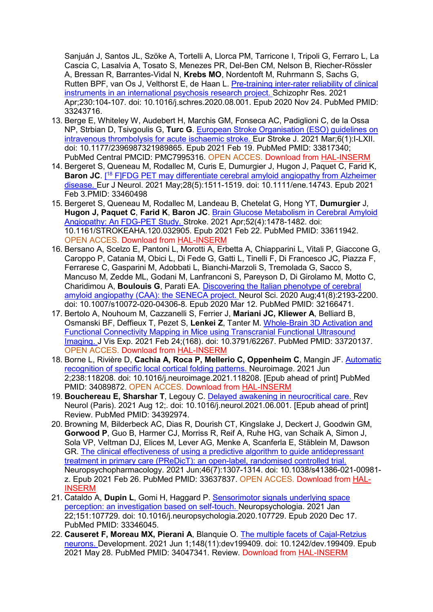Sanjuán J, Santos JL, Szöke A, Tortelli A, Llorca PM, Tarricone I, Tripoli G, Ferraro L, La Cascia C, Lasalvia A, Tosato S, Menezes PR, Del-Ben CM, Nelson B, Riecher-Rössler A, Bressan R, Barrantes-Vidal N, **Krebs MO**, Nordentoft M, Ruhrmann S, Sachs G, Rutten BPF, van Os J, Velthorst E, de Haan L. [Pre-training inter-rater reliability of clinical](https://www.ncbi.nlm.nih.gov/pubmed/33243716/)  [instruments in an international psychosis research project. S](https://www.ncbi.nlm.nih.gov/pubmed/33243716/)chizophr Res. 2021 Apr;230:104-107. doi: 10.1016/j.schres.2020.08.001. Epub 2020 Nov 24. PubMed PMID: 33243716.

- 13. Berge E, Whiteley W, Audebert H, Marchis GM, Fonseca AC, Padiglioni C, de la Ossa NP, Strbian D, Tsivgoulis G, **Turc G**. [European Stroke Organisation \(ESO\) guidelines on](https://www.ncbi.nlm.nih.gov/pubmed/33817340/)  [intravenous thrombolysis for acute ischaemic stroke. E](https://www.ncbi.nlm.nih.gov/pubmed/33817340/)ur Stroke J. 2021 Mar;6(1):I-LXII. doi: 10.1177/2396987321989865. Epub 2021 Feb 19. PubMed PMID: 33817340; PubMed Central PMCID: PMC7995316. OPEN ACCES. Download from [HAL-INSERM](https://www.hal.inserm.fr/inserm-03280275)
- 14. Bergeret S, Queneau M, Rodallec M, Curis E, Dumurgier J, Hugon J, Paquet C, Farid K, **Baron JC**. [<sup>18</sup> F]FDG PET may differentiate cerebral amyloid angiopathy from Alzheimer [disease. E](https://www.ncbi.nlm.nih.gov/pubmed/33460498/)ur J Neurol. 2021 May;28(5):1511-1519. doi: 10.1111/ene.14743. Epub 2021 Feb 3.PMID: 33460498
- 15. Bergeret S, Queneau M, Rodallec M, Landeau B, Chetelat G, Hong YT, **Dumurgier** J, **Hugon J, Paquet C**, **Farid K**, **Baron JC**. [Brain Glucose Metabolism in Cerebral Amyloid](https://www.ncbi.nlm.nih.gov/pubmed/33611942/)  [Angiopathy: An FDG-PET Study. S](https://www.ncbi.nlm.nih.gov/pubmed/33611942/)troke. 2021 Apr;52(4):1478-1482. doi: 10.1161/STROKEAHA.120.032905. Epub 2021 Feb 22. PubMed PMID: 33611942. OPEN ACCES. Download from [HAL-INSERM](https://www.hal.inserm.fr/inserm-03280309)
- 16. Bersano A, Scelzo E, Pantoni L, Morotti A, Erbetta A, Chiapparini L, Vitali P, Giaccone G, Caroppo P, Catania M, Obici L, Di Fede G, Gatti L, Tinelli F, Di Francesco JC, Piazza F, Ferrarese C, Gasparini M, Adobbati L, Bianchi-Marzoli S, Tremolada G, Sacco S, Mancuso M, Zedde ML, Godani M, Lanfranconi S, Pareyson D, Di Girolamo M, Motto C, Charidimou A, **Boulouis G**, Parati EA. [Discovering the Italian phenotype of cerebral](https://www.ncbi.nlm.nih.gov/pubmed/32166471/)  [amyloid angiopathy \(CAA\): the SENECA project. N](https://www.ncbi.nlm.nih.gov/pubmed/32166471/)eurol Sci. 2020 Aug;41(8):2193-2200. doi: 10.1007/s10072-020-04306-8. Epub 2020 Mar 12. PubMed PMID: 32166471.
- 17. Bertolo A, Nouhoum M, Cazzanelli S, Ferrier J, **Mariani JC, Kliewer A**, Belliard B, Osmanski BF, Deffieux T, Pezet S, **Lenkei Z**, Tanter M. [Whole-Brain 3D Activation and](https://www.ncbi.nlm.nih.gov/pubmed/33720137/)  [Functional Connectivity Mapping in Mice using Transcranial Functional Ultrasound](https://www.ncbi.nlm.nih.gov/pubmed/33720137/)  [Imaging. J](https://www.ncbi.nlm.nih.gov/pubmed/33720137/) Vis Exp. 2021 Feb 24;(168). doi: 10.3791/62267. PubMed PMID: 33720137. OPEN ACCES. Download from [HAL-INSERM](https://hal.archives-ouvertes.fr/hal-03242236)
- 18. Borne L, Rivière D, **Cachia A, Roca P, Mellerio C, Oppenheim C**, Mangin JF. [Automatic](https://www.ncbi.nlm.nih.gov/pubmed/34089872/)  [recognition of specific local cortical folding patterns. N](https://www.ncbi.nlm.nih.gov/pubmed/34089872/)euroimage. 2021 Jun 2;238:118208. doi: 10.1016/j.neuroimage.2021.118208. [Epub ahead of print] PubMed PMID: 34089872. OPEN ACCES. Download from [HAL-INSERM](https://www.hal.inserm.fr/inserm-03280339)
- 19. **Bouchereau E, Sharshar T**, Legouy C. [Delayed awakening in neurocritical care. R](https://www.ncbi.nlm.nih.gov/pubmed/34392974/)ev Neurol (Paris). 2021 Aug 12;. doi: 10.1016/j.neurol.2021.06.001. [Epub ahead of print] Review. PubMed PMID: 34392974.
- 20. Browning M, Bilderbeck AC, Dias R, Dourish CT, Kingslake J, Deckert J, Goodwin GM, **Gorwood P**, Guo B, Harmer CJ, Morriss R, Reif A, Ruhe HG, van Schaik A, Simon J, Sola VP, Veltman DJ, Elices M, Lever AG, Menke A, Scanferla E, Stäblein M, Dawson GR. [The clinical effectiveness of using a predictive algorithm to guide antidepressant](https://www.ncbi.nlm.nih.gov/pubmed/33637837/)  [treatment in primary care \(PReDicT\): an open-label, randomised controlled trial.](https://www.ncbi.nlm.nih.gov/pubmed/33637837/)  Neuropsychopharmacology. 2021 Jun;46(7):1307-1314. doi: 10.1038/s41386-021-00981 z. Epub 2021 Feb 26. PubMed PMID: 33637837. OPEN ACCES. Download from [HAL-](https://www.hal.inserm.fr/inserm-03280352)[INSERM](https://www.hal.inserm.fr/inserm-03280352)
- 21. Cataldo A, **Dupin L**, Gomi H, Haggard P. [Sensorimotor signals underlying space](https://www.ncbi.nlm.nih.gov/pubmed/33346045/)  [perception: an investigation based on self-touch. N](https://www.ncbi.nlm.nih.gov/pubmed/33346045/)europsychologia. 2021 Jan 22;151:107729. doi: 10.1016/j.neuropsychologia.2020.107729. Epub 2020 Dec 17. PubMed PMID: 33346045.
- 22. **Causeret F, Moreau MX, Pierani A**, Blanquie O. [The multiple facets of Cajal-Retzius](https://www.ncbi.nlm.nih.gov/pubmed/34047341/)  [neurons. D](https://www.ncbi.nlm.nih.gov/pubmed/34047341/)evelopment. 2021 Jun 1;148(11):dev199409. doi: 10.1242/dev.199409. Epub 2021 May 28. PubMed PMID: 34047341. Review. Download from [HAL-INSERM](https://www.hal.inserm.fr/inserm-03242189)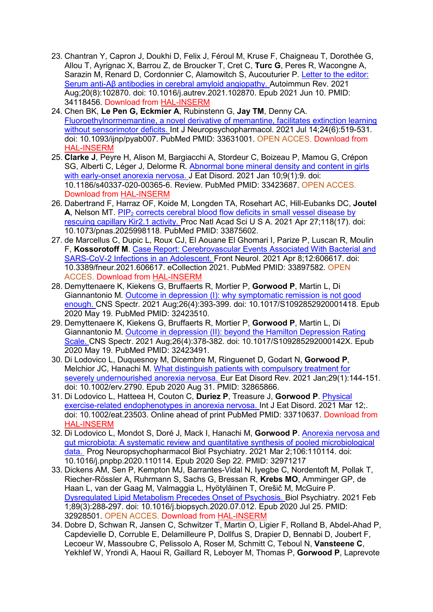- 23. Chantran Y, Capron J, Doukhi D, Felix J, Féroul M, Kruse F, Chaigneau T, Dorothée G, Allou T, Ayrignac X, Barrou Z, de Broucker T, Cret C, **Turc G**, Peres R, Wacongne A, Sarazin M, Renard D, Cordonnier C, Alamowitch S, Aucouturier P. [Letter to the editor:](https://www.ncbi.nlm.nih.gov/pubmed/34118456/)  Serum anti-[Aβ antibodies in cerebral amyloid angiopathy.](https://www.ncbi.nlm.nih.gov/pubmed/34118456/) Autoimmun Rev. 2021 Aug;20(8):102870. doi: 10.1016/j.autrev.2021.102870. Epub 2021 Jun 10. PMID: 34118456. Download from [HAL-INSERM](https://www.hal.inserm.fr/inserm-03260379)
- 24. Chen BK, **Le Pen G, Eckmier A**, Rubinstenn G, **Jay TM**, Denny CA. [Fluoroethylnormemantine, a novel derivative of memantine, facilitates extinction learning](https://www.ncbi.nlm.nih.gov/pubmed/33631001/)  [without sensorimotor deficits. I](https://www.ncbi.nlm.nih.gov/pubmed/33631001/)nt J Neuropsychopharmacol. 2021 Jul 14;24(6):519-531. doi: 10.1093/ijnp/pyab007. PubMed PMID: 33631001. OPEN ACCES. Download from [HAL-INSERM](https://www.hal.inserm.fr/inserm-03280373)
- 25. **Clarke J**, Peyre H, Alison M, Bargiacchi A, Stordeur C, Boizeau P, Mamou G, Crépon SG, Alberti C, Léger J, Delorme R. Abnormal bone mineral density and content in girls [with early-onset anorexia nervosa. J](https://www.ncbi.nlm.nih.gov/pubmed/33423687/) Eat Disord. 2021 Jan 10;9(1):9. doi: 10.1186/s40337-020-00365-6. Review. PubMed PMID: 33423687. OPEN ACCES. Download from [HAL-INSERM](https://www.hal.inserm.fr/inserm-03280383)
- 26. Dabertrand F, Harraz OF, Koide M, Longden TA, Rosehart AC, Hill-Eubanks DC, **Joutel A**, Nelson MT. PIP<sub>2</sub> corrects cerebral blood flow deficits in small vessel disease by [rescuing capillary Kir2.1 activity. P](https://www.ncbi.nlm.nih.gov/pubmed/33875602/)roc Natl Acad Sci U S A. 2021 Apr 27;118(17). doi: 10.1073/pnas.2025998118. PubMed PMID: 33875602.
- 27. de Marcellus C, Dupic L, Roux CJ, El Aouane El Ghomari I, Parize P, Luscan R, Moulin F, **Kossorotoff M**. [Case Report: Cerebrovascular Events Associated With Bacterial and](https://www.ncbi.nlm.nih.gov/pubmed/33897582/)  [SARS-CoV-2 Infections in an Adolescent. F](https://www.ncbi.nlm.nih.gov/pubmed/33897582/)ront Neurol. 2021 Apr 8;12:606617. doi: 10.3389/fneur.2021.606617. eCollection 2021. PubMed PMID: 33897582. OPEN ACCES. Download from [HAL-INSERM](https://www.hal.inserm.fr/inserm-03280444)
- 28. Demyttenaere K, Kiekens G, Bruffaerts R, Mortier P, **Gorwood P**, Martin L, Di Giannantonio M. [Outcome in depression \(I\): why symptomatic remission is not good](https://www.ncbi.nlm.nih.gov/pubmed/32423510/)  [enough. C](https://www.ncbi.nlm.nih.gov/pubmed/32423510/)NS Spectr. 2021 Aug;26(4):393-399. doi: 10.1017/S1092852920001418. Epub 2020 May 19. PubMed PMID: 32423510.
- 29. Demyttenaere K, Kiekens G, Bruffaerts R, Mortier P, **Gorwood P**, Martin L, Di Giannantonio M. [Outcome in depression \(II\): beyond the Hamilton Depression Rating](https://www.ncbi.nlm.nih.gov/pubmed/32423491/)  [Scale. C](https://www.ncbi.nlm.nih.gov/pubmed/32423491/)NS Spectr. 2021 Aug;26(4):378-382. doi: 10.1017/S109285292000142X. Epub 2020 May 19. PubMed PMID: 32423491.
- 30. Di Lodovico L, Duquesnoy M, Dicembre M, Ringuenet D, Godart N, **Gorwood P**, Melchior JC, Hanachi M. [What distinguish patients with compulsory treatment for](https://www.ncbi.nlm.nih.gov/pubmed/32865866/)  [severely undernourished anorexia nervosa. E](https://www.ncbi.nlm.nih.gov/pubmed/32865866/)ur Eat Disord Rev. 2021 Jan;29(1):144-151. doi: 10.1002/erv.2790. Epub 2020 Aug 31. PMID: 32865866.
- 31. Di Lodovico L, Hatteea H, Couton C, **Duriez P**, Treasure J, **Gorwood P**. [Physical](https://www.ncbi.nlm.nih.gov/pubmed/33710637/)  [exercise-related endophenotypes in anorexia nervosa. I](https://www.ncbi.nlm.nih.gov/pubmed/33710637/)nt J Eat Disord. 2021 Mar 12;. doi: 10.1002/eat.23503. Online ahead of print PubMed PMID: 33710637. Download from [HAL-INSERM](https://www.hal.inserm.fr/inserm-03170394)
- 32. Di Lodovico L, Mondot S, Doré J, Mack I, Hanachi M, **Gorwood P**. [Anorexia nervosa and](https://www.ncbi.nlm.nih.gov/pubmed/32971217/)  [gut microbiota: A systematic review and quantitative synthesis of pooled microbiological](https://www.ncbi.nlm.nih.gov/pubmed/32971217/)  [data.](https://www.ncbi.nlm.nih.gov/pubmed/32971217/) Prog Neuropsychopharmacol Biol Psychiatry. 2021 Mar 2;106:110114. doi: 10.1016/j.pnpbp.2020.110114. Epub 2020 Sep 22. PMID: 32971217
- 33. Dickens AM, Sen P, Kempton MJ, Barrantes-Vidal N, Iyegbe C, Nordentoft M, Pollak T, Riecher-Rössler A, Ruhrmann S, Sachs G, Bressan R, **Krebs MO**, Amminger GP, de Haan L, van der Gaag M, Valmaggia L, Hyötyläinen T, Orešič M, McGuire P. [Dysregulated Lipid Metabolism Precedes Onset of Psychosis. B](https://www.ncbi.nlm.nih.gov/pubmed/32928501/)iol Psychiatry. 2021 Feb 1;89(3):288-297. doi: 10.1016/j.biopsych.2020.07.012. Epub 2020 Jul 25. PMID: 32928501. OPEN ACCES. Download from [HAL-INSERM](https://www.hal.inserm.fr/inserm-03280453)
- 34. Dobre D, Schwan R, Jansen C, Schwitzer T, Martin O, Ligier F, Rolland B, Abdel-Ahad P, Capdevielle D, Corruble E, Delamilleure P, Dollfus S, Drapier D, Bennabi D, Joubert F, Lecoeur W, Massoubre C, Pelissolo A, Roser M, Schmitt C, Teboul N, **Vansteene C**, Yekhlef W, Yrondi A, Haoui R, Gaillard R, Leboyer M, Thomas P, **Gorwood P**, Laprevote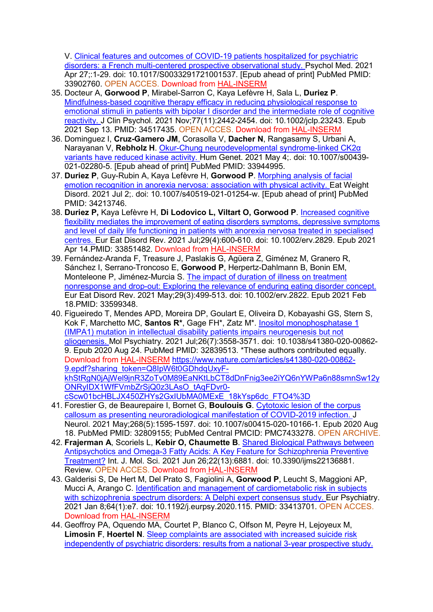V. [Clinical features and outcomes of COVID-19](https://www.ncbi.nlm.nih.gov/pubmed/33902760/) patients hospitalized for psychiatric [disorders: a French multi-centered prospective observational study. P](https://www.ncbi.nlm.nih.gov/pubmed/33902760/)sychol Med. 2021 Apr 27;:1-29. doi: 10.1017/S0033291721001537. [Epub ahead of print] PubMed PMID: 33902760. OPEN ACCES. Download from [HAL-INSERM](https://hal.archives-ouvertes.fr/hal-03224998)

- 35. Docteur A, **Gorwood P**, Mirabel-Sarron C, Kaya Lefèvre H, Sala L, **Duriez P**. [Mindfulness-based cognitive therapy efficacy in reducing physiological response to](https://www.ncbi.nlm.nih.gov/pubmed/34517435/)  [emotional stimuli in patients with bipolar I disorder and the intermediate role of cognitive](https://www.ncbi.nlm.nih.gov/pubmed/34517435/)  [reactivity. J](https://www.ncbi.nlm.nih.gov/pubmed/34517435/) Clin Psychol. 2021 Nov;77(11):2442-2454. doi: 10.1002/jclp.23243. Epub 2021 Sep 13. PMID: 34517435. OPEN ACCES. Download from [HAL-INSERM](https://www.hal.inserm.fr/inserm-03346081)
- 36. Dominguez I, **Cruz-Gamero JM**, Corasolla V, **Dacher N**, Rangasamy S, Urbani A, Narayanan V, **Rebholz H**. [Okur-Chung neurodevelopmental syndrome-](https://www.ncbi.nlm.nih.gov/pubmed/33944995/)linked CK2α [variants have reduced kinase activity. H](https://www.ncbi.nlm.nih.gov/pubmed/33944995/)um Genet. 2021 May 4;. doi: 10.1007/s00439- 021-02280-5. [Epub ahead of print] PubMed PMID: 33944995.
- 37. **Duriez P**, Guy-Rubin A, Kaya Lefèvre H, **Gorwood P**. [Morphing analysis of facial](https://www.ncbi.nlm.nih.gov/pubmed/34213746/)  [emotion recognition in anorexia nervosa: association with physical activity. E](https://www.ncbi.nlm.nih.gov/pubmed/34213746/)at Weight Disord. 2021 Jul 2;. doi: 10.1007/s40519-021-01254-w. [Epub ahead of print] PubMed PMID: 34213746.
- 38. **Duriez P,** Kaya Lefèvre H, **Di Lodovico L, Viltart O, Gorwood P**. [Increased cognitive](https://www.ncbi.nlm.nih.gov/pubmed/33851482/)  [flexibility mediates the improvement of eating disorders symptoms, depressive symptoms](https://www.ncbi.nlm.nih.gov/pubmed/33851482/)  [and level of daily life functioning in patients with anorexia nervosa treated in specialised](https://www.ncbi.nlm.nih.gov/pubmed/33851482/)  [centres. E](https://www.ncbi.nlm.nih.gov/pubmed/33851482/)ur Eat Disord Rev. 2021 Jul;29(4):600-610. doi: 10.1002/erv.2829. Epub 2021 Apr 14.PMID: 33851482. Download from [HAL-INSERM](https://www.hal.inserm.fr/inserm-03203038)
- 39. Fernández-Aranda F, Treasure J, Paslakis G, Agüera Z, Giménez M, Granero R, Sánchez I, Serrano-Troncoso E, **Gorwood P**, Herpertz-Dahlmann B, Bonin EM, Monteleone P, Jiménez-Murcia S. [The impact of duration of illness on treatment](https://www.ncbi.nlm.nih.gov/pubmed/33599348/)  [nonresponse and drop-out: Exploring the relevance of enduring eating disorder concept.](https://www.ncbi.nlm.nih.gov/pubmed/33599348/) Eur Eat Disord Rev. 2021 May;29(3):499-513. doi: 10.1002/erv.2822. Epub 2021 Feb 18.PMID: 33599348.
- 40. Figueiredo T, Mendes APD, Moreira DP, Goulart E, Oliveira D, Kobayashi GS, Stern S, Kok F, Marchetto MC, **Santos R\***, Gage FH\*, Zatz M\*. [Inositol monophosphatase 1](https://www.ncbi.nlm.nih.gov/pubmed/32839513/)  [\(IMPA1\) mutation in intellectual disability patients impairs neurogenesis but not](https://www.ncbi.nlm.nih.gov/pubmed/32839513/)  [gliogenesis. M](https://www.ncbi.nlm.nih.gov/pubmed/32839513/)ol Psychiatry. 2021 Jul;26(7):3558-3571. doi: 10.1038/s41380-020-00862- 9. Epub 2020 Aug 24. PubMed PMID: 32839513. \*These authors contributed equally. Download from [HAL-INSERM](https://www.hal.inserm.fr/inserm-02981565) [https://www.nature.com/articles/s41380-020-00862-](https://www.nature.com/articles/s41380-020-00862-9.epdf?sharing_token=Q8IpW6t0GDhdqUxyF-khStRgN0jAjWel9jnR3ZoTv0M89EaNKtLbCT8dDnFnig3ee2iYQ6nYWPa6n88smnSw12yONRyIDX1WfFVmbZrSjQ0z3LAsO_tAqFDvr0-cScw01bcHBLJX450ZHYs2GxIUbMA0MExE_18kYsp6dc_FTO4%3D) [9.epdf?sharing\\_token=Q8IpW6t0GDhdqUxyF](https://www.nature.com/articles/s41380-020-00862-9.epdf?sharing_token=Q8IpW6t0GDhdqUxyF-khStRgN0jAjWel9jnR3ZoTv0M89EaNKtLbCT8dDnFnig3ee2iYQ6nYWPa6n88smnSw12yONRyIDX1WfFVmbZrSjQ0z3LAsO_tAqFDvr0-cScw01bcHBLJX450ZHYs2GxIUbMA0MExE_18kYsp6dc_FTO4%3D)[khStRgN0jAjWel9jnR3ZoTv0M89EaNKtLbCT8dDnFnig3ee2iYQ6nYWPa6n88smnSw12y](https://www.nature.com/articles/s41380-020-00862-9.epdf?sharing_token=Q8IpW6t0GDhdqUxyF-khStRgN0jAjWel9jnR3ZoTv0M89EaNKtLbCT8dDnFnig3ee2iYQ6nYWPa6n88smnSw12yONRyIDX1WfFVmbZrSjQ0z3LAsO_tAqFDvr0-cScw01bcHBLJX450ZHYs2GxIUbMA0MExE_18kYsp6dc_FTO4%3D) [ONRyIDX1WfFVmbZrSjQ0z3LAsO\\_tAqFDvr0](https://www.nature.com/articles/s41380-020-00862-9.epdf?sharing_token=Q8IpW6t0GDhdqUxyF-khStRgN0jAjWel9jnR3ZoTv0M89EaNKtLbCT8dDnFnig3ee2iYQ6nYWPa6n88smnSw12yONRyIDX1WfFVmbZrSjQ0z3LAsO_tAqFDvr0-cScw01bcHBLJX450ZHYs2GxIUbMA0MExE_18kYsp6dc_FTO4%3D) [cScw01bcHBLJX450ZHYs2GxIUbMA0MExE\\_18kYsp6dc\\_FTO4%3D](https://www.nature.com/articles/s41380-020-00862-9.epdf?sharing_token=Q8IpW6t0GDhdqUxyF-khStRgN0jAjWel9jnR3ZoTv0M89EaNKtLbCT8dDnFnig3ee2iYQ6nYWPa6n88smnSw12yONRyIDX1WfFVmbZrSjQ0z3LAsO_tAqFDvr0-cScw01bcHBLJX450ZHYs2GxIUbMA0MExE_18kYsp6dc_FTO4%3D)
- 41. Forestier G, de Beaurepaire I, Bornet G, **Boulouis G**. [Cytotoxic lesion of the corpus](https://www.ncbi.nlm.nih.gov/pubmed/32809155/)  [callosum as presenting neuroradiological manifestation of COVID-2019 infection. J](https://www.ncbi.nlm.nih.gov/pubmed/32809155/) Neurol. 2021 May;268(5):1595-1597. doi: 10.1007/s00415-020-10166-1. Epub 2020 Aug 18. PubMed PMID: 32809155; PubMed Central PMCID: PMC7433278. OPEN ARCHIVE.
- 42. **Frajerman A**, Scoriels L, **Kebir O, Chaumette B**. [Shared Biological Pathways between](https://www.mdpi.com/1422-0067/22/13/6881/xml#cite)  [Antipsychotics and Omega-3 Fatty Acids: A Key Feature for Schizophrenia Preventive](https://www.mdpi.com/1422-0067/22/13/6881/xml#cite)  [Treatment?](https://www.mdpi.com/1422-0067/22/13/6881/xml#cite) Int. J. Mol. Sci. 2021 Jun 26;22(13):6881. [doi: 10.3390/ijms22136881.](https://doi.org/10.3390/ijms22136881) Review. OPEN ACCES. Download from [HAL-INSERM](https://www.hal.inserm.fr/inserm-03274446)
- 43. Galderisi S, De Hert M, Del Prato S, Fagiolini A, **Gorwood P**, Leucht S, Maggioni AP, Mucci A, Arango C. [Identification and management of cardiometabolic risk in subjects](https://www.ncbi.nlm.nih.gov/pubmed/33413701/)  [with schizophrenia spectrum disorders: A Delphi expert consensus study. E](https://www.ncbi.nlm.nih.gov/pubmed/33413701/)ur Psychiatry. 2021 Jan 8;64(1):e7. doi: 10.1192/j.eurpsy.2020.115. PMID: 33413701. OPEN ACCES. Download from [HAL-INSERM](https://www.hal.inserm.fr/inserm-03280472)
- 44. Geoffroy PA, Oquendo MA, Courtet P, Blanco C, Olfson M, Peyre H, Lejoyeux M, **Limosin F**, **Hoertel N**. [Sleep complaints are associated with increased suicide risk](https://www.ncbi.nlm.nih.gov/pubmed/32355334/)  [independently of psychiatric disorders: results from a national 3-year prospective study.](https://www.ncbi.nlm.nih.gov/pubmed/32355334/)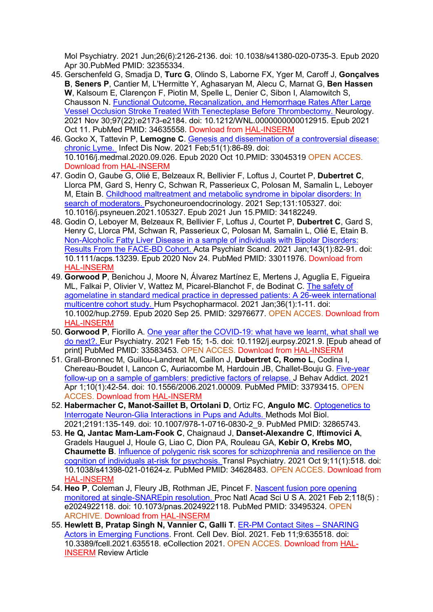Mol Psychiatry. 2021 Jun;26(6):2126-2136. doi: 10.1038/s41380-020-0735-3. Epub 2020 Apr 30.PubMed PMID: 32355334.

- 45. Gerschenfeld G, Smadja D, **Turc G**, Olindo S, Laborne FX, Yger M, Caroff J, **Gonçalves B**, **Seners P**, Cantier M, L'Hermitte Y, Aghasaryan M, Alecu C, Marnat G, **Ben Hassen W**, Kalsoum E, Clarençon F, Piotin M, Spelle L, Denier C, Sibon I, Alamowitch S, Chausson N. [Functional Outcome, Recanalization, and Hemorrhage Rates After Large](https://www.ncbi.nlm.nih.gov/pubmed/34635558/)  [Vessel Occlusion Stroke Treated With Tenecteplase Before Thrombectomy. N](https://www.ncbi.nlm.nih.gov/pubmed/34635558/)eurology. 2021 Nov 30;97(22):e2173-e2184. doi: 10.1212/WNL.0000000000012915. Epub 2021 Oct 11. PubMed PMID: 34635558. Download from [HAL-INSERM](https://www.hal.inserm.fr/inserm-03379553)
- 46. Gocko X, Tattevin P, **Lemogne C**. [Genesis and dissemination of a controversial disease:](https://www.ncbi.nlm.nih.gov/pubmed/33045319/)  [chronic Lyme.](https://www.ncbi.nlm.nih.gov/pubmed/33045319/) Infect Dis Now. 2021 Feb;51(1):86-89. doi: 10.1016/j.medmal.2020.09.026. Epub 2020 Oct 10.PMID: 33045319 OPEN ACCES. Download from [HAL-INSERM](https://www.hal.inserm.fr/inserm-03278983)
- 47. Godin O, Gaube G, Olié E, Belzeaux R, Bellivier F, Loftus J, Courtet P, **Dubertret C**, Llorca PM, Gard S, Henry C, Schwan R, Passerieux C, Polosan M, Samalin L, Leboyer M, Etain B. [Childhood maltreatment and metabolic syndrome in bipolar disorders: In](https://www.ncbi.nlm.nih.gov/pubmed/34182249/)  [search of moderators. P](https://www.ncbi.nlm.nih.gov/pubmed/34182249/)sychoneuroendocrinology. 2021 Sep;131:105327. doi: 10.1016/j.psyneuen.2021.105327. Epub 2021 Jun 15.PMID: 34182249.
- 48. Godin O, Leboyer M, Belzeaux R, Bellivier F, Loftus J, Courtet P, **Dubertret C**, Gard S, Henry C, Llorca PM, Schwan R, Passerieux C, Polosan M, Samalin L, Olié E, Etain B. [Non-Alcoholic Fatty Liver Disease in a sample of individuals with Bipolar Disorders:](https://www.ncbi.nlm.nih.gov/pubmed/33011976/)  [Results From the FACE-BD Cohort. A](https://www.ncbi.nlm.nih.gov/pubmed/33011976/)cta Psychiatr Scand. 2021 Jan;143(1):82-91. doi: 10.1111/acps.13239. Epub 2020 Nov 24. PubMed PMID: 33011976. Download from [HAL-INSERM](https://hal.archives-ouvertes.fr/hal-03166629)
- 49. **Gorwood P**, Benichou J, Moore N, Álvarez Martínez E, Mertens J, Aguglia E, Figueira ML, Falkai P, Olivier V, Wattez M, Picarel-Blanchot F, de Bodinat C. The safety of [agomelatine in standard medical practice in depressed patients: A 26-week international](https://www.ncbi.nlm.nih.gov/pubmed/32976677/)  [multicentre cohort study. H](https://www.ncbi.nlm.nih.gov/pubmed/32976677/)um Psychopharmacol. 2021 Jan;36(1):1-11. doi: 10.1002/hup.2759. Epub 2020 Sep 25. PMID: 32976677. OPEN ACCES. Download from [HAL-INSERM](https://www.hal.inserm.fr/inserm-02969124)
- 50. **Gorwood P**, Fiorillo A. [One year after the COVID-19: what have we learnt, what shall we](https://www.ncbi.nlm.nih.gov/pubmed/33583453/)  [do next?. E](https://www.ncbi.nlm.nih.gov/pubmed/33583453/)ur Psychiatry. 2021 Feb 15; 1-5. doi: 10.1192/j.eurpsy.2021.9. [Epub ahead of print] PubMed PMID: 33583453. OPEN ACCES. Download from [HAL-INSERM](https://www.hal.inserm.fr/inserm-03143910)
- 51. Grall-Bronnec M, Guillou-Landreat M, Caillon J, **Dubertret C, Romo L**, Codina I, Chereau-Boudet I, Lancon C, Auriacombe M, Hardouin JB, Challet-Bouju G. [Five-year](https://www.ncbi.nlm.nih.gov/pubmed/33793415/)  [follow-up on a sample of gamblers: predictive factors of relapse. J](https://www.ncbi.nlm.nih.gov/pubmed/33793415/) Behav Addict. 2021 Apr 1;10(1):42-54. doi: 10.1556/2006.2021.00009. PubMed PMID: 33793415. OPEN ACCES. Download from [HAL-INSERM](https://hal.archives-ouvertes.fr/hal-03211052)
- 52. **Habermacher C, Manot-Saillet B, Ortolani D**, Ortiz FC, **Angulo MC**. [Optogenetics to](https://www.ncbi.nlm.nih.gov/pubmed/32865743/)  [Interrogate Neuron-Glia Interactions in Pups and Adults. M](https://www.ncbi.nlm.nih.gov/pubmed/32865743/)ethods Mol Biol. 2021;2191:135-149. doi: 10.1007/978-1-0716-0830-2\_9. PubMed PMID: 32865743.
- 53. **He Q, Jantac Mam-Lam-Fook C**, Chaignaud J, **Danset-Alexandre C**, **Iftimovici A**, Gradels Hauguel J, Houle G, Liao C, Dion PA, Rouleau GA, **Kebir O, Krebs MO, Chaumette B**. [Influence of polygenic risk scores for schizophrenia and](https://www.ncbi.nlm.nih.gov/pubmed/34628483/) resilience on the [cognition of individuals at-risk for psychosis. T](https://www.ncbi.nlm.nih.gov/pubmed/34628483/)ransl Psychiatry. 2021 Oct 9;11(1):518. doi: 10.1038/s41398-021-01624-z. PubMed PMID: 34628483. OPEN ACCES. Download from [HAL-INSERM](https://hal.archives-ouvertes.fr/hal-03374914)
- 54. **Heo P**, Coleman J, Fleury JB, Rothman JE, Pincet F. [Nascent fusion pore opening](https://www.ncbi.nlm.nih.gov/pubmed/33495324/)  [monitored at single-SNAREpin resolution. P](https://www.ncbi.nlm.nih.gov/pubmed/33495324/)roc Natl Acad Sci U S A. 2021 Feb 2;118(5) : e2024922118. doi: 10.1073/pnas.2024922118. PubMed PMID: 33495324. OPEN ARCHIVE. Download from [HAL-INSERM](https://www.hal.inserm.fr/inserm-03123229)
- 55. **Hewlett B, Pratap Singh N, Vannier C, Galli T**. [ER-PM Contact Sites –](https://www.frontiersin.org/articles/10.3389/fcell.2021.635518/full) SNARING [Actors in Emerging Functions.](https://www.frontiersin.org/articles/10.3389/fcell.2021.635518/full) Front. Cell Dev. Biol. 2021. Feb 11;9:635518. doi: 10.3389/fcell.2021.635518. eCollection 2021. OPEN ACCES. Download from [HAL-](https://www.hal.inserm.fr/inserm-03143157)[INSERM](https://www.hal.inserm.fr/inserm-03143157) Review Article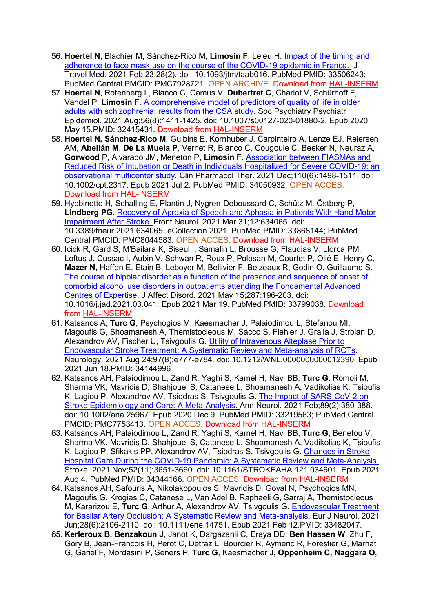- 56. **Hoertel N**, Blachier M, Sánchez-Rico M, **Limosin F**, Leleu H. [Impact of the timing and](https://www.ncbi.nlm.nih.gov/pubmed/33506243/)  adherence to face mask use [on the course of the COVID-19 epidemic in France.](https://www.ncbi.nlm.nih.gov/pubmed/33506243/) J Travel Med. 2021 Feb 23;28(2). doi: 10.1093/jtm/taab016. PubMed PMID: 33506243; PubMed Central PMCID: PMC7928721. OPEN ARCHIVE. Download from [HAL-INSERM](https://www.hal.inserm.fr/inserm-03127084)
- 57. **Hoertel N**, Rotenberg L, Blanco C, Camus V, **Dubertret C**, Charlot V, Schürhoff F, Vandel P, Limosin F. A comprehensive model of predictors of quality of life in older [adults with schizophrenia: results from the CSA study. S](https://www.ncbi.nlm.nih.gov/pubmed/32415431/)oc Psychiatry Psychiatr Epidemiol. 2021 Aug;56(8):1411-1425. doi: 10.1007/s00127-020-01880-2. Epub 2020 May 15.PMID: 32415431. Download from [HAL-INSERM](https://hal.archives-ouvertes.fr/hal-02799480)
- 58. **Hoertel N, Sánchez-Rico M**, Gulbins E, Kornhuber J, Carpinteiro A, Lenze EJ, Reiersen AM, **Abellán M**, **De La Muela P**, Vernet R, Blanco C, Cougoule C, Beeker N, Neuraz A, **Gorwood** P, Alvarado JM, Meneton P, **Limosin F**. [Association between FIASMAs](https://www.ncbi.nlm.nih.gov/pubmed/34050932/) and [Reduced Risk of Intubation or Death in Individuals Hospitalized for Severe COVID-19: an](https://www.ncbi.nlm.nih.gov/pubmed/34050932/)  [observational multicenter study. C](https://www.ncbi.nlm.nih.gov/pubmed/34050932/)lin Pharmacol Ther. 2021 Dec;110(6):1498-1511. doi: 10.1002/cpt.2317. Epub 2021 Jul 2. PubMed PMID: 34050932. OPEN ACCES. Download from [HAL-INSERM](https://www.hal.inserm.fr/inserm-03248408)
- 59. Hybbinette H, Schalling E, Plantin J, Nygren-Deboussard C, Schütz M, Östberg P, **Lindberg PG**. [Recovery of Apraxia of Speech and Aphasia in Patients With Hand Motor](https://www.ncbi.nlm.nih.gov/pubmed/33868144/)  [Impairment After Stroke. F](https://www.ncbi.nlm.nih.gov/pubmed/33868144/)ront Neurol. 2021 Mar 31;12:634065. doi: 10.3389/fneur.2021.634065. eCollection 2021. PubMed PMID: 33868144; PubMed Central PMCID: PMC8044583. OPEN ACCES. Download from [HAL-INSERM](https://www.hal.inserm.fr/inserm-03280499)
- 60. Icick R, Gard S, M'Bailara K, Biseul I, Samalin L, Brousse G, Flaudias V, Llorca PM, Loftus J, Cussac I, Aubin V, Schwan R, Roux P, Polosan M, Courtet P, Olié E, Henry C, **Mazer N**, Haffen E, Etain B, Leboyer M, Bellivier F, Belzeaux R, Godin O, Guillaume S. [The course of bipolar disorder as a function of the presence and sequence of onset of](https://www.ncbi.nlm.nih.gov/pubmed/33799038/)  [comorbid alcohol use disorders in outpatients attending the Fondamental Advanced](https://www.ncbi.nlm.nih.gov/pubmed/33799038/)  [Centres of Expertise. J](https://www.ncbi.nlm.nih.gov/pubmed/33799038/) Affect Disord. 2021 May 15;287:196-203. doi: 10.1016/j.jad.2021.03.041. Epub 2021 Mar 19. PubMed PMID: 33799038. Download from [HAL-INSERM](https://hal.archives-ouvertes.fr/hal-03230874)
- 61. Katsanos A, **Turc G**, Psychogios M, Kaesmacher J, Palaiodimou L, Stefanou MI, Magoufis G, Shoamanesh A, Themistocleous M, Sacco S, Fiehler J, Gralla J, Strbian D, Alexandrov AV, Fischer U, Tsivgoulis G. [Utility of Intravenous Alteplase Prior to](https://pubmed.ncbi.nlm.nih.gov/34144996/)  [Endovascular Stroke Treatment: A Systematic Review and Meta-analysis of RCTs.](https://pubmed.ncbi.nlm.nih.gov/34144996/) Neurology. 2021 Aug 24;97(8):e777-e784. doi: 10.1212/WNL.0000000000012390. Epub 2021 Jun 18.PMID: 34144996
- 62. Katsanos AH, Palaiodimou L, Zand R, Yaghi S, Kamel H, Navi BB, **Turc G**, Romoli M, Sharma VK, Mavridis D, Shahjouei S, Catanese L, Shoamanesh A, Vadikolias K, Tsioufis K, Lagiou P, Alexandrov AV, Tsiodras S, Tsivgoulis G. The Impact of SARS-CoV-2 on [Stroke Epidemiology and Care: A Meta-Analysis. A](https://www.ncbi.nlm.nih.gov/pubmed/33219563/)nn Neurol. 2021 Feb;89(2):380-388. doi: 10.1002/ana.25967. Epub 2020 Dec 9. PubMed PMID: 33219563; PubMed Central PMCID: PMC7753413. OPEN ACCES. Download from [HAL-INSERM](https://www.hal.inserm.fr/inserm-03127042)
- 63. Katsanos AH, Palaiodimou L, Zand R, Yaghi S, Kamel H, Navi BB, **Turc G**, Benetou V, Sharma VK, Mavridis D, Shahjouei S, Catanese L, Shoamanesh A, Vadikolias K, Tsioufis K, Lagiou P, Sfikakis PP, Alexandrov AV, Tsiodras S, Tsivgoulis G. [Changes in Stroke](https://www.ncbi.nlm.nih.gov/pubmed/34344166/)  [Hospital Care During the COVID-19 Pandemic: A Systematic Review and Meta-Analysis.](https://www.ncbi.nlm.nih.gov/pubmed/34344166/)  Stroke. 2021 Nov;52(11):3651-3660. doi: 10.1161/STROKEAHA.121.034601. Epub 2021 Aug 4. PubMed PMID: 34344166. OPEN ACCES. Download from [HAL-INSERM](https://www.hal.inserm.fr/inserm-03321760)
- 64. Katsanos AH, Safouris A, Nikolakopoulos S, Mavridis D, Goyal N, Psychogios MN, Magoufis G, Krogias C, Catanese L, Van Adel B, Raphaeli G, Sarraj A, Themistocleous M, Kararizou E, **Turc G**, Arthur A, Alexandrov AV, Tsivgoulis G. [Endovascular Treatment](https://www.ncbi.nlm.nih.gov/pubmed/33482047/)  [for Basilar Artery Occlusion: A Systematic Review and Meta-analysis. E](https://www.ncbi.nlm.nih.gov/pubmed/33482047/)ur J Neurol. 2021 Jun;28(6):2106-2110. doi: 10.1111/ene.14751. Epub 2021 Feb 12.PMID: 33482047.
- 65. **Kerleroux B, Benzakoun J**, Janot K, Dargazanli C, Eraya DD, **Ben Hassen W**, Zhu F, Gory B, Jean-Francois H, Perot C, Detraz L, Bourcier R, Aymeric R, Forestier G, Marnat G, Gariel F, Mordasini P, Seners P, **Turc G**, Kaesmacher J, **Oppenheim C, Naggara O**,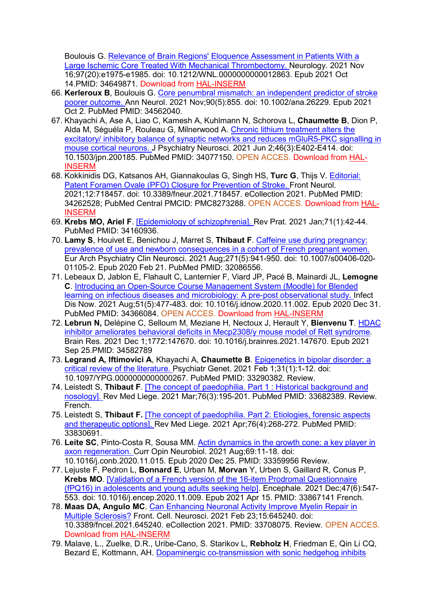Boulouis G. [Relevance of Brain Regions' Eloquence Assessment in Patients With a](https://www.ncbi.nlm.nih.gov/pubmed/34649871/)  [Large Ischemic Core Treated With Mechanical Thrombectomy. N](https://www.ncbi.nlm.nih.gov/pubmed/34649871/)eurology. 2021 Nov 16;97(20):e1975-e1985. doi: 10.1212/WNL.0000000000012863. Epub 2021 Oct 14.PMID: 34649871. Download from [HAL-INSERM](https://www.hal.inserm.fr/inserm-03403995)

- 66. **Kerleroux B**, Boulouis G. [Core penumbral mismatch: an independent predictor of stroke](https://www.ncbi.nlm.nih.gov/pubmed/34562040/)  [poorer outcome. A](https://www.ncbi.nlm.nih.gov/pubmed/34562040/)nn Neurol. 2021 Nov;90(5):855. doi: 10.1002/ana.26229. Epub 2021 Oct 2. PubMed PMID: 34562040.
- 67. Khayachi A, Ase A, Liao C, Kamesh A, Kuhlmann N, Schorova L, **Chaumette B**, Dion P, Alda M, Séguéla P, Rouleau G, Milnerwood A. [Chronic lithium treatment alters the](https://www.ncbi.nlm.nih.gov/pubmed/34077150/)  excitatory/ inhibitory balance of synaptic networks and reduces mGluR5-PKC signalling in [mouse cortical neurons. J](https://www.ncbi.nlm.nih.gov/pubmed/34077150/) Psychiatry Neurosci. 2021 Jun 2;46(3):E402-E414. doi: 10.1503/jpn.200185. PubMed PMID: 34077150. OPEN ACCES. Download from [HAL-](https://www.hal.inserm.fr/inserm-03552774)[INSERM](https://www.hal.inserm.fr/inserm-03552774)
- 68. Kokkinidis DG, Katsanos AH, Giannakoulas G, Singh HS, **Turc G**, Thijs V. [Editorial:](https://www.ncbi.nlm.nih.gov/pubmed/34262528/)  [Patent Foramen Ovale \(PFO\) Closure for Prevention of Stroke. F](https://www.ncbi.nlm.nih.gov/pubmed/34262528/)ront Neurol. 2021;12:718457. doi: 10.3389/fneur.2021.718457. eCollection 2021. PubMed PMID: 34262528; PubMed Central PMCID: PMC8273288. OPEN ACCES. Download from [HAL-](https://www.hal.inserm.fr/inserm-03321775)[INSERM](https://www.hal.inserm.fr/inserm-03321775)
- 69. **Krebs MO, Ariel F**. [\[Epidemiology of schizophrenia\]. R](https://www.ncbi.nlm.nih.gov/pubmed/34160936/)ev Prat. 2021 Jan;71(1):42-44. PubMed PMID: 34160936.
- 70. **Lamy S**, Houivet E, Benichou J, Marret S, **Thibaut F**. [Caffeine use during pregnancy:](https://www.ncbi.nlm.nih.gov/pubmed/32086556/)  [prevalence of use and newborn consequences in a cohort of French pregnant women.](https://www.ncbi.nlm.nih.gov/pubmed/32086556/)  Eur Arch Psychiatry Clin Neurosci. 2021 Aug;271(5):941-950. doi: 10.1007/s00406-020- 01105-2. Epub 2020 Feb 21. PubMed PMID: 32086556.
- 71. Lebeaux D, Jablon E, Flahault C, Lanternier F, Viard JP, Pacé B, Mainardi JL, **Lemogne C**. [Introducing an Open-Source Course Management System \(Moodle\) for Blended](https://www.ncbi.nlm.nih.gov/pubmed/34366084/)  [learning on infectious diseases and microbiology: A pre-post observational study. I](https://www.ncbi.nlm.nih.gov/pubmed/34366084/)nfect Dis Now. 2021 Aug;51(5):477-483. doi: 10.1016/j.idnow.2020.11.002. Epub 2020 Dec 31. PubMed PMID: 34366084. OPEN ACCES. Download from [HAL-INSERM](https://www.hal.inserm.fr/inserm-03321792)
- 72. **Lebrun N,** Delépine C, Selloum M, Meziane H, Nectoux J, Herault Y, **Bienvenu T**. [HDAC](https://www.sciencedirect.com/science/article/abs/pii/S0006899321005278)  [inhibitor ameliorates behavioral deficits in Mecp2308/y mouse model of Rett syndrome.](https://www.sciencedirect.com/science/article/abs/pii/S0006899321005278) Brain Res. 2021 Dec 1;1772:147670. doi: 10.1016/j.brainres.2021.147670. Epub 2021 Sep 25.PMID: 34582789
- 73. **Legrand A, Iftimovici A**, Khayachi A, **Chaumette B**. [Epigenetics in bipolar disorder: a](https://www.ncbi.nlm.nih.gov/pubmed/33290382/)  [critical review of the literature. P](https://www.ncbi.nlm.nih.gov/pubmed/33290382/)sychiatr Genet. 2021 Feb 1;31(1):1-12. doi: 10.1097/YPG.0000000000000267. PubMed PMID: 33290382. Review.
- 74. Leistedt S, **Thibaut F**. [\[The concept of paedophilia. Part 1 : Historical background and](https://www.ncbi.nlm.nih.gov/pubmed/33682389/)  [nosology\]. R](https://www.ncbi.nlm.nih.gov/pubmed/33682389/)ev Med Liege. 2021 Mar;76(3):195-201. PubMed PMID: 33682389. Review. French.
- 75. Leistedt S, **Thibaut F.** [\[The concept of paedophilia. Part 2: Etiologies, forensic aspects](https://www.ncbi.nlm.nih.gov/pubmed/33830691/)  [and therapeutic options\]. R](https://www.ncbi.nlm.nih.gov/pubmed/33830691/)ev Med Liege. 2021 Apr;76(4):268-272. PubMed PMID: 33830691.
- 76. **Leite SC**, Pinto-Costa R, Sousa MM. Actin [dynamics in the growth cone: a key player in](https://www.ncbi.nlm.nih.gov/pubmed/33359956/)  [axon regeneration. C](https://www.ncbi.nlm.nih.gov/pubmed/33359956/)urr Opin Neurobiol. 2021 Aug;69:11-18. doi: 10.1016/j.conb.2020.11.015. Epub 2020 Dec 25. PMID: 33359956 Review.
- 77. Lejuste F, Pedron L, **Bonnard E**, Urban M, **Morvan** Y, Urben S, Gaillard R, Conus P, **Krebs MO**. [\[Validation of a French version of the 16-item Prodromal Questionnaire](https://www.sciencedirect.com/science/article/abs/pii/S0013700621000683?via%3Dihub)  [\(fPQ16\) in adolescents and young adults seeking help\].](https://www.sciencedirect.com/science/article/abs/pii/S0013700621000683?via%3Dihub) Encephale. 2021 Dec;47(6):547- 553. doi: 10.1016/j.encep.2020.11.009. Epub 2021 Apr 15. PMID: 33867141 French.
- 78. **Maas DA, Angulo MC**. [Can Enhancing Neuronal Activity Improve Myelin Repair in](https://www.frontiersin.org/articles/10.3389/fncel.2021.645240/full?&utm_source=Email_to_authors_&utm_medium=Email&utm_content=T1_11.5e1_author&utm_campaign=Email_publication&field=&journalName=Frontiers_in_Cellular_Neuroscience&id=645240)  [Multiple Sclerosis?](https://www.frontiersin.org/articles/10.3389/fncel.2021.645240/full?&utm_source=Email_to_authors_&utm_medium=Email&utm_content=T1_11.5e1_author&utm_campaign=Email_publication&field=&journalName=Frontiers_in_Cellular_Neuroscience&id=645240) Front. Cell. Neurosci. 2021 Feb 23;15:645240. doi: 10.3389/fncel.2021.645240. eCollection 2021. PMID: 33708075. Review. OPEN ACCES. Download from [HAL-INSERM](https://www.hal.inserm.fr/inserm-03151896)
- 79. Malave, L., Zuelke, D.R., Uribe-Cano, S. Starikov L, **Rebholz H**, Friedman E, Qin Li CQ, Bezard E, Kottmann, AH. [Dopaminergic co-transmission with sonic hedgehog inhibits](https://www.nature.com/articles/s42003-021-02567-3#citeas)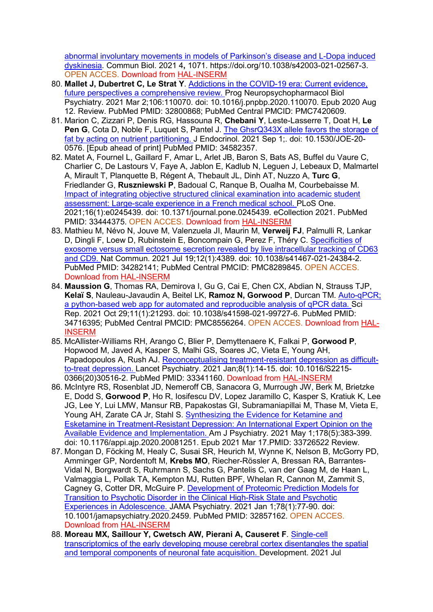[abnormal involuntary movements in models of Parkinson's disease and L-Dopa induced](https://www.nature.com/articles/s42003-021-02567-3#citeas)  [dyskinesia.](https://www.nature.com/articles/s42003-021-02567-3#citeas) Commun Biol. 2021 4**,** 1071. https://doi.org/10.1038/s42003-021-02567-3. OPEN ACCES. Download from [HAL-INSERM](https://www.hal.inserm.fr/inserm-03352257)

- 80. **Mallet J, Dubertret C, Le Strat Y**. [Addictions in the COVID-19 era: Current evidence,](https://www.ncbi.nlm.nih.gov/pubmed/32800868/)  [future perspectives a comprehensive review. P](https://www.ncbi.nlm.nih.gov/pubmed/32800868/)rog Neuropsychopharmacol Biol Psychiatry. 2021 Mar 2;106:110070. doi: 10.1016/j.pnpbp.2020.110070. Epub 2020 Aug 12. Review. PubMed PMID: 32800868; PubMed Central PMCID: PMC7420609.
- 81. Marion C, Zizzari P, Denis RG, Hassouna R, **Chebani Y**, Leste-Lasserre T, Doat H, **Le Pen G**, Cota D, Noble F, Luquet S, Pantel J. [The GhsrQ343X allele favors the storage of](https://www.ncbi.nlm.nih.gov/pubmed/34582357/)  [fat by acting on nutrient partitioning. J](https://www.ncbi.nlm.nih.gov/pubmed/34582357/) Endocrinol. 2021 Sep 1;. doi: 10.1530/JOE-20- 0576. [Epub ahead of print] PubMed PMID: 34582357.
- 82. Matet A, Fournel L, Gaillard F, Amar L, Arlet JB, Baron S, Bats AS, Buffel du Vaure C, Charlier C, De Lastours V, Faye A, Jablon E, Kadlub N, Leguen J, Lebeaux D, Malmartel A, Mirault T, Planquette B, Régent A, Thebault JL, Dinh AT, Nuzzo A, **Turc G**, Friedlander G, **Ruszniewski P**, Badoual C, Ranque B, Oualha M, Courbebaisse M. [Impact of integrating objective structured clinical examination into academic student](https://www.ncbi.nlm.nih.gov/pubmed/33444375/)  [assessment: Large-scale experience in a French medical school. P](https://www.ncbi.nlm.nih.gov/pubmed/33444375/)LoS One. 2021;16(1):e0245439. doi: 10.1371/journal.pone.0245439. eCollection 2021. PubMed PMID: 33444375. OPEN ACCES. Download from [HAL-INSERM](https://hal.sorbonne-universite.fr/hal-03258630)
- 83. Mathieu M, Névo N, Jouve M, Valenzuela JI, Maurin M, **Verweij FJ**, Palmulli R, Lankar D, Dingli F, Loew D, Rubinstein E, Boncompain G, Perez F, Théry C. [Specificities of](https://www.ncbi.nlm.nih.gov/pubmed/34282141/)  [exosome versus small ectosome secretion revealed by live intracellular tracking of CD63](https://www.ncbi.nlm.nih.gov/pubmed/34282141/)  [and CD9. N](https://www.ncbi.nlm.nih.gov/pubmed/34282141/)at Commun. 2021 Jul 19;12(1):4389. doi: 10.1038/s41467-021-24384-2. PubMed PMID: 34282141; PubMed Central PMCID: PMC8289845. OPEN ACCES. Download from [HAL-INSERM](https://www.hal.inserm.fr/hal-03294229)
- 84. **Maussion G**, Thomas RA, Demirova I, Gu G, Cai E, Chen CX, Abdian N, Strauss TJP, **Kelaï S**, Nauleau-Javaudin A, Beitel LK, **Ramoz N, Gorwood P**, Durcan TM. [Auto-qPCR;](https://www.ncbi.nlm.nih.gov/pubmed/34716395/)  [a python-based web app for automated and reproducible analysis of qPCR data. S](https://www.ncbi.nlm.nih.gov/pubmed/34716395/)ci Rep. 2021 Oct 29;11(1):21293. doi: 10.1038/s41598-021-99727-6. PubMed PMID: 34716395; PubMed Central PMCID: PMC8556264. OPEN ACCES. Download from [HAL-](https://www.hal.inserm.fr/inserm-03419324)[INSERM](https://www.hal.inserm.fr/inserm-03419324)
- 85. McAllister-Williams RH, Arango C, Blier P, Demyttenaere K, Falkai P, **Gorwood P**, Hopwood M, Javed A, Kasper S, Malhi GS, Soares JC, Vieta E, Young AH, Papadopoulos A, Rush AJ. [Reconceptualising treatment-resistant depression as difficult](https://www.ncbi.nlm.nih.gov/pubmed/33341160/)[to-treat depression. L](https://www.ncbi.nlm.nih.gov/pubmed/33341160/)ancet Psychiatry. 2021 Jan;8(1):14-15. doi: 10.1016/S2215- 0366(20)30516-2. PubMed PMID: 33341160. Download from [HAL-INSERM](https://hal.archives-ouvertes.fr/hal-02972787)
- 86. McIntyre RS, Rosenblat JD, Nemeroff CB, Sanacora G, Murrough JW, Berk M, Brietzke E, Dodd S, **Gorwood P**, Ho R, Iosifescu DV, Lopez Jaramillo C, Kasper S, Kratiuk K, Lee JG, Lee Y, Lui LMW, Mansur RB, Papakostas GI, Subramaniapillai M, Thase M, Vieta E, Young AH, Zarate CA Jr, Stahl S. [Synthesizing the Evidence for Ketamine and](https://www.ncbi.nlm.nih.gov/pubmed/33726522/)  [Esketamine in Treatment-Resistant Depression: An International Expert Opinion on the](https://www.ncbi.nlm.nih.gov/pubmed/33726522/)  [Available Evidence and Implementation. A](https://www.ncbi.nlm.nih.gov/pubmed/33726522/)m J Psychiatry. 2021 May 1;178(5):383-399. doi: 10.1176/appi.ajp.2020.20081251. Epub 2021 Mar 17.PMID: 33726522 Review.
- 87. Mongan D, Föcking M, Healy C, Susai SR, Heurich M, Wynne K, Nelson B, McGorry PD, Amminger GP, Nordentoft M, **Krebs MO**, Riecher-Rössler A, Bressan RA, Barrantes-Vidal N, Borgwardt S, Ruhrmann S, Sachs G, Pantelis C, van der Gaag M, de Haan L, Valmaggia L, Pollak TA, Kempton MJ, Rutten BPF, Whelan R, Cannon M, Zammit S, Cagney G, Cotter DR, McGuire P. [Development of Proteomic Prediction Models for](https://www.ncbi.nlm.nih.gov/pubmed/32857162/)  [Transition to Psychotic Disorder in the Clinical High-Risk State and Psychotic](https://www.ncbi.nlm.nih.gov/pubmed/32857162/)  [Experiences in Adolescence. J](https://www.ncbi.nlm.nih.gov/pubmed/32857162/)AMA Psychiatry. 2021 Jan 1;78(1):77-90. doi: 10.1001/jamapsychiatry.2020.2459. PubMed PMID: 32857162. OPEN ACCES. Download from [HAL-INSERM](https://www.hal.inserm.fr/inserm-02971314)
- 88. **Moreau MX, Saillour Y, Cwetsch AW, Pierani A, Causeret F**. [Single-cell](https://www.ncbi.nlm.nih.gov/pubmed/34170322/)  [transcriptomics of the early developing mouse cerebral cortex disentangles the spatial](https://www.ncbi.nlm.nih.gov/pubmed/34170322/)  [and temporal components of neuronal fate acquisition. D](https://www.ncbi.nlm.nih.gov/pubmed/34170322/)evelopment. 2021 Jul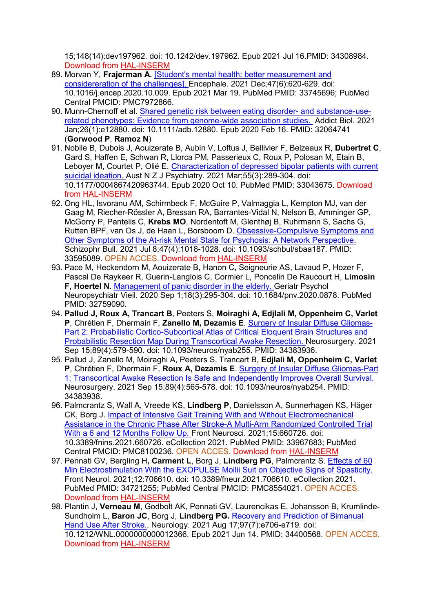15;148(14):dev197962. doi: 10.1242/dev.197962. Epub 2021 Jul 16.PMID: 34308984. Download from [HAL-INSERM](https://hal.archives-ouvertes.fr/hal-03059956)

- 89. Morvan Y, **Frajerman A.** [\[Student's mental health: better measurement and](https://www.ncbi.nlm.nih.gov/pubmed/33745696/)  [considereration of the challenges\]. E](https://www.ncbi.nlm.nih.gov/pubmed/33745696/)ncephale. 2021 Dec;47(6):620-629. doi: 10.1016/j.encep.2020.10.009. Epub 2021 Mar 19. PubMed PMID: 33745696; PubMed Central PMCID: PMC7972866.
- 90. Munn-Chernoff et al. [Shared genetic risk between eating disorder-](https://www.ncbi.nlm.nih.gov/pubmed/32064741/) and substance-use[related phenotypes: Evidence from genome-wide association studies.](https://www.ncbi.nlm.nih.gov/pubmed/32064741/) Addict Biol. 2021 Jan;26(1):e12880. doi: 10.1111/adb.12880. Epub 2020 Feb 16. PMID: 32064741 (**Gorwood P**, **Ramoz N**)
- 91. Nobile B, Dubois J, Aouizerate B, Aubin V, Loftus J, Bellivier F, Belzeaux R, **Dubertret C**, Gard S, Haffen E, Schwan R, Llorca PM, Passerieux C, Roux P, Polosan M, Etain B, Leboyer M, Courtet P, Olié E. [Characterization of depressed bipolar patients with current](https://www.ncbi.nlm.nih.gov/pubmed/33043675/)  [suicidal ideation. A](https://www.ncbi.nlm.nih.gov/pubmed/33043675/)ust N Z J Psychiatry. 2021 Mar;55(3):289-304. doi: 10.1177/0004867420963744. Epub 2020 Oct 10. PubMed PMID: 33043675. Download from [HAL-INSERM](https://hal.inrae.fr/hal-03185089)
- 92. Ong HL, Isvoranu AM, Schirmbeck F, McGuire P, Valmaggia L, Kempton MJ, van der Gaag M, Riecher-Rössler A, Bressan RA, Barrantes-Vidal N, Nelson B, Amminger GP, McGorry P, Pantelis C, **Krebs MO**, Nordentoft M, Glenthøj B, Ruhrmann S, Sachs G, Rutten BPF, van Os J, de Haan L, Borsboom D. [Obsessive-Compulsive Symptoms and](https://www.ncbi.nlm.nih.gov/pubmed/33595089/)  [Other Symptoms of the At-risk Mental State for Psychosis: A Network Perspective.](https://www.ncbi.nlm.nih.gov/pubmed/33595089/)  Schizophr Bull. 2021 Jul 8;47(4):1018-1028. doi: 10.1093/schbul/sbaa187. PMID: 33595089. OPEN ACCES. Download from [HAL-INSERM](https://www.hal.inserm.fr/inserm-03280545)
- 93. Pace M, Heckendorn M, Aouizerate B, Hanon C, Seigneurie AS, Lavaud P, Hozer F, Pascal De Raykeer R, Guerin-Langlois C, Cormier L, Poncelin De Raucourt H, **Limosin F, Hoertel N**. [Management of panic disorder in the elderly. G](https://www.ncbi.nlm.nih.gov/pubmed/32759090/)eriatr Psychol Neuropsychiatr Vieil. 2020 Sep 1;18(3):295-304. doi: 10.1684/pnv.2020.0878. PubMed PMID: 32759090.
- 94. **Pallud J, Roux A, Trancart B**, Peeters S, **Moiraghi A, Edjlali M, Oppenheim C, Varlet P**, Chrétien F, Dhermain F, **Zanello M, Dezamis E**. [Surgery of Insular Diffuse Gliomas-](https://www.ncbi.nlm.nih.gov/pubmed/34383936/)[Part 2: Probabilistic Cortico-Subcortical Atlas of Critical Eloquent Brain Structures and](https://www.ncbi.nlm.nih.gov/pubmed/34383936/)  [Probabilistic Resection Map During Transcortical Awake Resection. N](https://www.ncbi.nlm.nih.gov/pubmed/34383936/)eurosurgery. 2021 Sep 15;89(4):579-590. doi: 10.1093/neuros/nyab255. PMID: 34383936.
- 95. Pallud J, Zanello M, Moiraghi A, Peeters S, Trancart B, **Edjlali M, Oppenheim C, Varlet P**, Chrétien F, Dhermain F, **Roux A, Dezamis E**. [Surgery of Insular Diffuse Gliomas-Part](https://www.ncbi.nlm.nih.gov/pubmed/34383938/)  [1: Transcortical Awake Resection Is Safe and Independently Improves Overall Survival.](https://www.ncbi.nlm.nih.gov/pubmed/34383938/)  Neurosurgery. 2021 Sep 15;89(4):565-578. doi: 10.1093/neuros/nyab254. PMID: 34383938.
- 96. Palmcrantz S, Wall A, Vreede KS, **Lindberg P**, Danielsson A, Sunnerhagen KS, Häger CK, Borg J. [Impact of Intensive Gait Training With and Without Electromechanical](https://www.ncbi.nlm.nih.gov/pubmed/33967683/)  [Assistance in the Chronic Phase After Stroke-A Multi-Arm Randomized Controlled Trial](https://www.ncbi.nlm.nih.gov/pubmed/33967683/)  [With a 6 and 12 Months Follow Up. F](https://www.ncbi.nlm.nih.gov/pubmed/33967683/)ront Neurosci. 2021;15:660726. doi: 10.3389/fnins.2021.660726. eCollection 2021. PubMed PMID: 33967683; PubMed Central PMCID: PMC8100236. OPEN ACCES. Download from [HAL-INSERM](https://www.hal.inserm.fr/inserm-03227481)
- 97. Pennati GV, Bergling H**, Carment L**, Borg J, **Lindberg PG**, Palmcrantz S. [Effects of 60](https://www.ncbi.nlm.nih.gov/pubmed/34721255/)  [Min Electrostimulation With the EXOPULSE Mollii Suit on Objective Signs of Spasticity.](https://www.ncbi.nlm.nih.gov/pubmed/34721255/)  Front Neurol. 2021;12:706610. doi: 10.3389/fneur.2021.706610. eCollection 2021. PubMed PMID: 34721255; PubMed Central PMCID: PMC8554021. OPEN ACCES. Download from [HAL-INSERM](https://www.hal.inserm.fr/inserm-03419336)
- 98. Plantin J, **Verneau M**, Godbolt AK, Pennati GV, Laurencikas E, Johansson B, Krumlinde-Sundholm L, **Baron JC**, Borg J, **Lindberg PG.** [Recovery and Prediction of Bimanual](https://n.neurology.org/content/early/2021/06/14/WNL.0000000000012366)  [Hand Use After Stroke..](https://n.neurology.org/content/early/2021/06/14/WNL.0000000000012366) Neurology. 2021 Aug 17;97(7):e706-e719. doi: 10.1212/WNL.0000000000012366. Epub 2021 Jun 14. PMID: 34400568. OPEN ACCES. Download from [HAL-INSERM](https://www.hal.inserm.fr/inserm-03264834)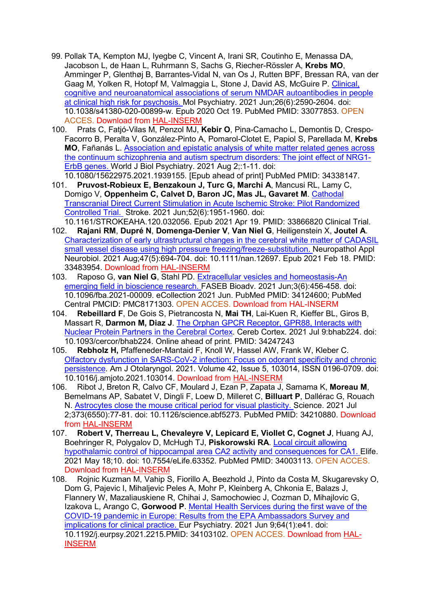- 99. Pollak TA, Kempton MJ, Iyegbe C, Vincent A, Irani SR, Coutinho E, Menassa DA, Jacobson L, de Haan L, Ruhrmann S, Sachs G, Riecher-Rössler A, **Krebs MO**, Amminger P, Glenthøj B, Barrantes-Vidal N, van Os J, Rutten BPF, Bressan RA, van der Gaag M, Yolken R, Hotopf M, Valmaggia L, Stone J, David AS, McGuire P. [Clinical,](https://www.ncbi.nlm.nih.gov/pubmed/33077853/)  [cognitive and neuroanatomical associations of serum NMDAR autoantibodies in people](https://www.ncbi.nlm.nih.gov/pubmed/33077853/)  [at clinical high risk for psychosis. M](https://www.ncbi.nlm.nih.gov/pubmed/33077853/)ol Psychiatry. 2021 Jun;26(6):2590-2604. doi: 10.1038/s41380-020-00899-w. Epub 2020 Oct 19. PubMed PMID: 33077853. OPEN ACCES. Download from [HAL-INSERM](https://www.hal.inserm.fr/inserm-02974252)
- 100. Prats C, Fatjó-Vilas M, Penzol MJ, **Kebir O**, Pina-Camacho L, Demontis D, Crespo-Facorro B, Peralta V, González-Pinto A, Pomarol-Clotet E, Papiol S, Parellada M, **Krebs MO**, Fañanás L. [Association and epistatic analysis of white matter related genes across](https://www.ncbi.nlm.nih.gov/pubmed/34338147/)  [the continuum schizophrenia and autism spectrum disorders: The joint effect of NRG1-](https://www.ncbi.nlm.nih.gov/pubmed/34338147/) [ErbB genes. W](https://www.ncbi.nlm.nih.gov/pubmed/34338147/)orld J Biol Psychiatry. 2021 Aug 2;:1-11. doi: 10.1080/15622975.2021.1939155. [Epub ahead of print] PubMed PMID: 34338147.
- 101. **Pruvost-Robieux E, Benzakoun J, Turc G, Marchi A**, Mancusi RL, Lamy C, Domigo V, **Oppenheim C, Calvet D, Baron JC, Mas JL, Gavaret M**. [Cathodal](https://www.ncbi.nlm.nih.gov/pubmed/33866820/)  [Transcranial Direct Current Stimulation in Acute Ischemic Stroke: Pilot Randomized](https://www.ncbi.nlm.nih.gov/pubmed/33866820/)  [Controlled Trial.](https://www.ncbi.nlm.nih.gov/pubmed/33866820/) Stroke. 2021 Jun;52(6):1951-1960. doi: 10.1161/STROKEAHA.120.032056. Epub 2021 Apr 19. PMID: 33866820 Clinical Trial.
- 102. **Rajani RM**, **Dupré N**, **Domenga-Denier V**, **Van Niel G**, Heiligenstein X, **Joutel A**. [Characterization of early ultrastructural changes in the cerebral white matter of CADASIL](https://www.ncbi.nlm.nih.gov/pubmed/33483954/)  [small vessel disease using high pressure freezing/freeze-substitution. N](https://www.ncbi.nlm.nih.gov/pubmed/33483954/)europathol Appl Neurobiol. 2021 Aug;47(5):694-704. doi: 10.1111/nan.12697. Epub 2021 Feb 18. PMID: 33483954. Download from [HAL-INSERM](https://www.hal.inserm.fr/inserm-03632100)
- 103. Raposo G, **van Niel G**, Stahl PD. [Extracellular vesicles and homeostasis-An](https://www.ncbi.nlm.nih.gov/pubmed/34124600/)  [emerging field in bioscience research. F](https://www.ncbi.nlm.nih.gov/pubmed/34124600/)ASEB Bioadv. 2021 Jun;3(6):456-458. doi: 10.1096/fba.2021-00009. eCollection 2021 Jun. PubMed PMID: 34124600; PubMed Central PMCID: PMC8171303. OPEN ACCES. Download from HAL-INSERM
- 104. **Rebeillard F**, De Gois S, Pietrancosta N, **Mai TH**, Lai-Kuen R, Kieffer BL, Giros B, Massart R, **Darmon M, Diaz J**. [The Orphan GPCR Receptor, GPR88, Interacts with](https://pubmed.ncbi.nlm.nih.gov/34247243/)  [Nuclear Protein Partners in the Cerebral Cortex.](https://pubmed.ncbi.nlm.nih.gov/34247243/) Cereb Cortex. 2021 Jul 9:bhab224. doi: 10.1093/cercor/bhab224. Online ahead of print. PMID: 34247243
- 105. **Rebholz H,** Pfaffeneder-Mantaid F, Knoll W, Hassel AW, Frank W, Kleber C. [Olfactory dysfunction in SARS-CoV-2 infection: Focus on odorant specificity and chronic](https://www.sciencedirect.com/science/article/pii/S0196070921001150)  [persistence.](https://www.sciencedirect.com/science/article/pii/S0196070921001150) Am J Otolaryngol. 2021. Volume 42, Issue 5, 103014, ISSN 0196-0709. [doi:](https://doi.org/10.1016/j.amjoto.2021.103014)  [10.1016/j.amjoto.2021.103014.](https://doi.org/10.1016/j.amjoto.2021.103014) Download from [HAL-INSERM](https://www.hal.inserm.fr/inserm-03202949)<br>106. Ribot J, Breton R, Calvo CF, Moulard J. Ezan P. Zapata J.
- 106. Ribot J, Breton R, Calvo CF, Moulard J, Ezan P, Zapata J, Samama K, **Moreau M**, Bemelmans AP, Sabatet V, Dingli F, Loew D, Milleret C, **Billuart P**, Dallérac G, Rouach N. [Astrocytes close the mouse critical period for visual plasticity. S](https://www.ncbi.nlm.nih.gov/pubmed/34210880/)cience. 2021 Jul 2;373(6550):77-81. doi: 10.1126/science.abf5273. PubMed PMID: 34210880. Download from [HAL-INSERM](https://hal.archives-ouvertes.fr/hal-03277740)
- 107. **Robert V, Therreau L, Chevaleyre V, Lepicard E, Viollet C, Cognet J**, Huang AJ, Boehringer R, Polygalov D, McHugh TJ, **Piskorowski RA**. [Local circuit allowing](https://www.ncbi.nlm.nih.gov/pubmed/34003113/)  [hypothalamic control of hippocampal area CA2 activity and consequences for](https://www.ncbi.nlm.nih.gov/pubmed/34003113/) CA1. Elife. 2021 May 18;10. doi: 10.7554/eLife.63352. PubMed PMID: 34003113. OPEN ACCES. Download from [HAL-INSERM](https://www.hal.inserm.fr/inserm-03239710)
- 108. Rojnic Kuzman M, Vahip S, Fiorillo A, Beezhold J, Pinto da Costa M, Skugarevsky O, Dom G, Pajevic I, Mihaljevic Peles A, Mohr P, Kleinberg A, Chkonia E, Balazs J, Flannery W, Mazaliauskiene R, Chihai J, Samochowiec J, Cozman D, Mihajlovic G, Izakova L, Arango C, **Gorwood P**. [Mental Health Services during the first wave of the](https://www.ncbi.nlm.nih.gov/pubmed/34103102/)  [COVID-19 pandemic in Europe: Results from the EPA Ambassadors Survey and](https://www.ncbi.nlm.nih.gov/pubmed/34103102/)  [implications for clinical practice. E](https://www.ncbi.nlm.nih.gov/pubmed/34103102/)ur Psychiatry. 2021 Jun 9;64(1):e41. doi: 10.1192/j.eurpsy.2021.2215.PMID: 34103102. OPEN ACCES. Download from [HAL-](https://www.hal.inserm.fr/inserm-03280575)[INSERM](https://www.hal.inserm.fr/inserm-03280575)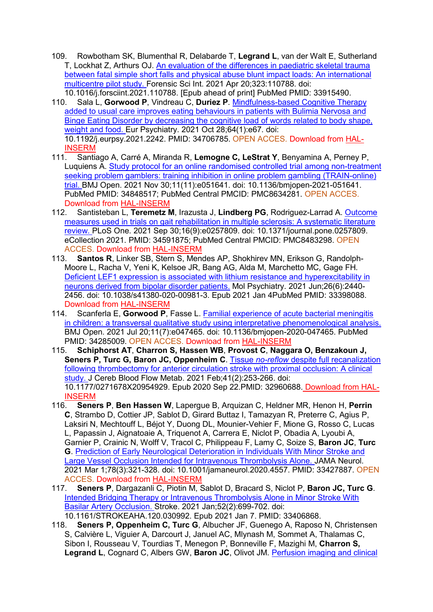- 109. Rowbotham SK, Blumenthal R, Delabarde T, **Legrand L**, van der Walt E, Sutherland T, Lockhat Z, Arthurs OJ. [An evaluation of the differences in paediatric skeletal trauma](https://www.ncbi.nlm.nih.gov/pubmed/33915490/)  [between fatal simple short falls and physical abuse blunt impact loads: An international](https://www.ncbi.nlm.nih.gov/pubmed/33915490/)  [multicentre pilot study. F](https://www.ncbi.nlm.nih.gov/pubmed/33915490/)orensic Sci Int. 2021 Apr 20;323:110788. doi: 10.1016/j.forsciint.2021.110788. [Epub ahead of print] PubMed PMID: 33915490.
- 110. Sala L, **Gorwood P**, Vindreau C, **Duriez P**. [Mindfulness-based Cognitive Therapy](https://www.ncbi.nlm.nih.gov/pubmed/34706785/)  [added to usual care improves eating behaviours in patients with Bulimia Nervosa and](https://www.ncbi.nlm.nih.gov/pubmed/34706785/)  [Binge Eating Disorder by decreasing the cognitive load of words related to body shape,](https://www.ncbi.nlm.nih.gov/pubmed/34706785/)  [weight and food. E](https://www.ncbi.nlm.nih.gov/pubmed/34706785/)ur Psychiatry. 2021 Oct 28;64(1):e67. doi: 10.1192/j.eurpsy.2021.2242. PMID: 34706785. OPEN ACCES. Download from [HAL-](https://www.hal.inserm.fr/inserm-03419304)[INSERM](https://www.hal.inserm.fr/inserm-03419304)
- 111. Santiago A, Carré A, Miranda R, **Lemogne C, LeStrat Y**, Benyamina A, Perney P, Luquiens A. [Study protocol for an online randomised controlled trial among non-treatment](https://www.ncbi.nlm.nih.gov/pubmed/34848517/)  seeking problem gamblers: training inhibition in online problem gambling (TRAIN-online) [trial. B](https://www.ncbi.nlm.nih.gov/pubmed/34848517/)MJ Open. 2021 Nov 30;11(11):e051641. doi: 10.1136/bmjopen-2021-051641. PubMed PMID: 34848517; PubMed Central PMCID: PMC8634281. OPEN ACCES. Download from [HAL-INSERM](https://hal.archives-ouvertes.fr/hal-03463599)
- 112. Santisteban L, **Teremetz M**, Irazusta J, **Lindberg PG**, Rodriguez-Larrad A. [Outcome](https://www.ncbi.nlm.nih.gov/pubmed/34591875/)  [measures used in trials on gait rehabilitation in multiple sclerosis: A systematic literature](https://www.ncbi.nlm.nih.gov/pubmed/34591875/)  [review. P](https://www.ncbi.nlm.nih.gov/pubmed/34591875/)LoS One. 2021 Sep 30;16(9):e0257809. doi: 10.1371/journal.pone.0257809. eCollection 2021. PMID: 34591875; PubMed Central PMCID: PMC8483298. OPEN ACCES. Download from [HAL-INSERM](https://hal.archives-ouvertes.fr/hal-03374952)
- 113. **Santos R**, Linker SB, Stern S, Mendes AP, Shokhirev MN, Erikson G, Randolph-Moore L, Racha V, Yeni K, Kelsoe JR, Bang AG, Alda M, Marchetto MC, Gage FH*.* Deficient LEF1 [expression is associated with lithium resistance and hyperexcitability in](https://www.nature.com/articles/s41380-020-00981-3#article-info)  [neurons derived from bipolar disorder patients.](https://www.nature.com/articles/s41380-020-00981-3#article-info) Mol Psychiatry. 2021 Jun;26(6):2440- 2456. doi: 10.1038/s41380-020-00981-3. Epub 2021 Jan 4PubMed PMID: 33398088. Download from [HAL-INSERM](https://www.hal.inserm.fr/inserm-03096975)
- 114. Scanferla E, **Gorwood P**, Fasse L. [Familial experience of acute bacterial meningitis](https://www.ncbi.nlm.nih.gov/pubmed/34285009/)  in children: a transversal qualitative study using interpretative phenomenological analysis. BMJ Open. 2021 Jul 20;11(7):e047465. doi: 10.1136/bmjopen-2020-047465. PubMed PMID: 34285009. OPEN ACCES. Download from [HAL-INSERM](https://www.hal.inserm.fr/inserm-03321781)
- 115. **Schiphorst AT**, **Charron S, Hassen WB**, **Provost C**, **Naggara O, Benzakoun J, Seners P, Turc G, Baron JC, Oppenheim C**. Tissue *no-reflow* [despite full recanalization](https://www.ncbi.nlm.nih.gov/pubmed/32960688/)  [following thrombectomy for anterior circulation stroke with proximal occlusion: A clinical](https://www.ncbi.nlm.nih.gov/pubmed/32960688/)  [study. J](https://www.ncbi.nlm.nih.gov/pubmed/32960688/) Cereb Blood Flow Metab. 2021 Feb;41(2):253-266. doi: 10.1177/0271678X20954929. Epub 2020 Sep 22.PMID: 32960688. Download from [HAL-](https://www.hal.inserm.fr/inserm-02978221)[INSERM](https://www.hal.inserm.fr/inserm-02978221)
- 116. **Seners P**, **Ben Hassen W**, Lapergue B, Arquizan C, Heldner MR, Henon H, **Perrin C**, Strambo D, Cottier JP, Sablot D, Girard Buttaz I, Tamazyan R, Preterre C, Agius P, Laksiri N, Mechtouff L, Béjot Y, Duong DL, Mounier-Vehier F, Mione G, Rosso C, Lucas L, Papassin J, Aignatoaie A, Triquenot A, Carrera E, Niclot P, Obadia A, Lyoubi A, Garnier P, Crainic N, Wolff V, Tracol C, Philippeau F, Lamy C, Soize S, **Baron JC**, **Turc G**. [Prediction of Early Neurological Deterioration in Individuals With Minor Stroke and](https://www.ncbi.nlm.nih.gov/pubmed/33427887/)  [Large Vessel Occlusion Intended for Intravenous Thrombolysis Alone. J](https://www.ncbi.nlm.nih.gov/pubmed/33427887/)AMA Neurol. 2021 Mar 1;78(3):321-328. doi: 10.1001/jamaneurol.2020.4557. PMID: 33427887. OPEN ACCES. Download from [HAL-INSERM](https://www.hal.inserm.fr/inserm-03108984)
- 117. **Seners P**, Dargazanli C, Piotin M, Sablot D, Bracard S, Niclot P, **Baron JC, Turc G**. [Intended Bridging Therapy or Intravenous Thrombolysis Alone in Minor Stroke With](https://www.ncbi.nlm.nih.gov/pubmed/33406868/)  [Basilar Artery Occlusion. S](https://www.ncbi.nlm.nih.gov/pubmed/33406868/)troke. 2021 Jan;52(2):699-702. doi: 10.1161/STROKEAHA.120.030992. Epub 2021 Jan 7. PMID: 33406868.
- 118. **Seners P, Oppenheim C, Turc G**, Albucher JF, Guenego A, Raposo N, Christensen S, Calvière L, Viguier A, Darcourt J, Januel AC, Mlynash M, Sommet A, Thalamas C, Sibon I, Rousseau V, Tourdias T, Menegon P, Bonneville F, Mazighi M, **Charron S, Legrand L**, Cognard C, Albers GW, **Baron JC**, Olivot JM. [Perfusion imaging and clinical](https://www.ncbi.nlm.nih.gov/pubmed/34216396/)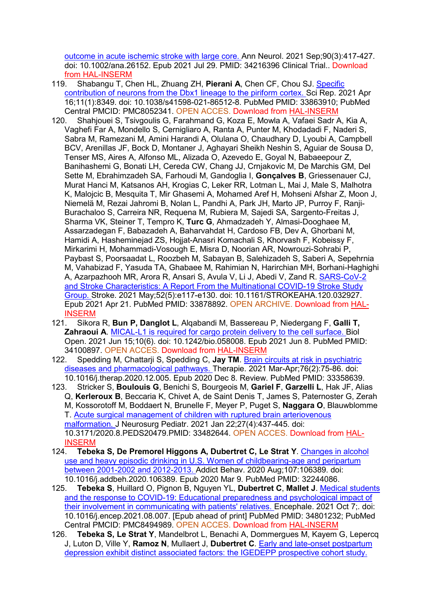[outcome in acute ischemic stroke with large core. A](https://www.ncbi.nlm.nih.gov/pubmed/34216396/)nn Neurol. 2021 Sep;90(3):417-427. doi: 10.1002/ana.26152. Epub 2021 Jul 29. PMID: 34216396 Clinical Trial.. Download [from HAL-INSERM](https://www.hal.inserm.fr/inserm-03287979)

- 119. Shabangu T, Chen HL, Zhuang ZH, **Pierani A**, Chen CF, Chou SJ. [Specific](https://www.ncbi.nlm.nih.gov/pubmed/33863910/)  [contribution of neurons from the Dbx1 lineage to the piriform cortex. S](https://www.ncbi.nlm.nih.gov/pubmed/33863910/)ci Rep. 2021 Apr 16;11(1):8349. doi: 10.1038/s41598-021-86512-8. PubMed PMID: 33863910; PubMed Central PMCID: PMC8052341. OPEN ACCES. Download from [HAL-INSERM](https://www.hal.inserm.fr/inserm-03280599)
- 120. Shahjouei S, Tsivgoulis G, Farahmand G, Koza E, Mowla A, Vafaei Sadr A, Kia A, Vaghefi Far A, Mondello S, Cernigliaro A, Ranta A, Punter M, Khodadadi F, Naderi S, Sabra M, Ramezani M, Amini Harandi A, Olulana O, Chaudhary D, Lyoubi A, Campbell BCV, Arenillas JF, Bock D, Montaner J, Aghayari Sheikh Neshin S, Aguiar de Sousa D, Tenser MS, Aires A, Alfonso ML, Alizada O, Azevedo E, Goyal N, Babaeepour Z, Banihashemi G, Bonati LH, Cereda CW, Chang JJ, Crnjakovic M, De Marchis GM, Del Sette M, Ebrahimzadeh SA, Farhoudi M, Gandoglia I, **Gonçalves B**, Griessenauer CJ, Murat Hanci M, Katsanos AH, Krogias C, Leker RR, Lotman L, Mai J, Male S, Malhotra K, Malojcic B, Mesquita T, Mir Ghasemi A, Mohamed Aref H, Mohseni Afshar Z, Moon J, Niemelä M, Rezai Jahromi B, Nolan L, Pandhi A, Park JH, Marto JP, Purroy F, Ranji-Burachaloo S, Carreira NR, Requena M, Rubiera M, Sajedi SA, Sargento-Freitas J, Sharma VK, Steiner T, Tempro K, **Turc G**, Ahmadzadeh Y, Almasi-Dooghaee M, Assarzadegan F, Babazadeh A, Baharvahdat H, Cardoso FB, Dev A, Ghorbani M, Hamidi A, Hasheminejad ZS, Hojjat-Anasri Komachali S, Khorvash F, Kobeissy F, Mirkarimi H, Mohammadi-Vosough E, Misra D, Noorian AR, Nowrouzi-Sohrabi P, Paybast S, Poorsaadat L, Roozbeh M, Sabayan B, Salehizadeh S, Saberi A, Sepehrnia M, Vahabizad F, Yasuda TA, Ghabaee M, Rahimian N, Harirchian MH, Borhani-Haghighi A, Azarpazhooh MR, Arora R, Ansari S, Avula V, Li J, Abedi V, Zand R. [SARS-CoV-2](https://www.ncbi.nlm.nih.gov/pubmed/33878892/)  [and Stroke Characteristics: A Report From the Multinational COVID-19 Stroke Study](https://www.ncbi.nlm.nih.gov/pubmed/33878892/)  [Group. S](https://www.ncbi.nlm.nih.gov/pubmed/33878892/)troke. 2021 May;52(5):e117-e130. doi: 10.1161/STROKEAHA.120.032927. Epub 2021 Apr 21. PubMed PMID: 33878892. OPEN ARCHIVE. Download from [HAL-](https://www.hal.inserm.fr/inserm-03280620)**[INSERM](https://www.hal.inserm.fr/inserm-03280620)**
- 121. Sikora R, **Bun P, Danglot L**, Alqabandi M, Bassereau P, Niedergang F, **Galli T, Zahraoui A**. [MICAL-L1 is required for cargo protein delivery to the cell surface. B](https://www.ncbi.nlm.nih.gov/pubmed/34100897/)iol Open. 2021 Jun 15;10(6). doi: 10.1242/bio.058008. Epub 2021 Jun 8. PubMed PMID: 34100897. OPEN ACCES. Download from [HAL-INSERM](https://www.hal.inserm.fr/inserm-03258482)
- 122. Spedding M, Chattarji S, Spedding C, **Jay TM**. [Brain circuits at risk in psychiatric](https://www.ncbi.nlm.nih.gov/pubmed/33358639/)  [diseases and pharmacological pathways. T](https://www.ncbi.nlm.nih.gov/pubmed/33358639/)herapie. 2021 Mar-Apr;76(2):75-86. doi:
- 10.1016/j.therap.2020.12.005. Epub 2020 Dec 8. Review. PubMed PMID: 33358639.<br>123. Stricker S, **Boulouis G**, Benichi S, Bourgeois M, **Gariel F. Garzelli L**. Hak JF. Ali 123. Stricker S, **Boulouis G**, Benichi S, Bourgeois M, **Gariel F**, **Garzelli L**, Hak JF, Alias Q, **Kerleroux B**, Beccaria K, Chivet A, de Saint Denis T, James S, Paternoster G, Zerah M, Kossorotoff M, Boddaert N, Brunelle F, Meyer P, Puget S, **Naggara O**, Blauwblomme T. [Acute surgical management of children with ruptured brain arteriovenous](https://www.ncbi.nlm.nih.gov/pubmed/33482644/)  [malformation. J](https://www.ncbi.nlm.nih.gov/pubmed/33482644/) Neurosurg Pediatr. 2021 Jan 22;27(4):437-445. doi: 10.3171/2020.8.PEDS20479.PMID: 33482644. OPEN ACCES. Download from [HAL-](https://www.hal.inserm.fr/inserm-03280643)<mark>[INSERM](https://www.hal.inserm.fr/inserm-03280643)</mark><br>124. Tebel
- 124. **Tebeka S, De Premorel Higgons A, Dubertret C, Le Strat Y**. [Changes in alcohol](https://www.ncbi.nlm.nih.gov/pubmed/32244086/)  [use and heavy episodic drinking in U.S. Women of childbearing-age and peripartum](https://www.ncbi.nlm.nih.gov/pubmed/32244086/)  [between 2001-2002 and 2012-2013. A](https://www.ncbi.nlm.nih.gov/pubmed/32244086/)ddict Behav. 2020 Aug;107:106389. doi: 10.1016/j.addbeh.2020.106389. Epub 2020 Mar 9. PubMed PMID: 32244086.
- 125. **Tebeka S**, Huillard O, Pignon B, Nguyen YL, **Dubertret C**, **Mallet J**. [Medical students](https://www.ncbi.nlm.nih.gov/pubmed/34801232/)  [and the response to COVID-19: Educational preparedness and psychological impact of](https://www.ncbi.nlm.nih.gov/pubmed/34801232/)  [their involvement in communicating with patients' relatives. E](https://www.ncbi.nlm.nih.gov/pubmed/34801232/)ncephale. 2021 Oct 7;. doi: 10.1016/j.encep.2021.08.007. [Epub ahead of print] PubMed PMID: 34801232; PubMed Central PMCID: PMC8494989. OPEN ACCES. Download from [HAL-INSERM](https://hal.archives-ouvertes.fr/hal-03497095)
- 126. **Tebeka S, Le Strat Y**, Mandelbrot L, Benachi A, Dommergues M, Kayem G, Lepercq J, Luton D, Ville Y, **Ramoz N**, Mullaert J, **Dubertret C**. [Early and late-onset postpartum](https://www.ncbi.nlm.nih.gov/pubmed/33656796/)  [depression exhibit distinct associated factors: the IGEDEPP prospective cohort study.](https://www.ncbi.nlm.nih.gov/pubmed/33656796/)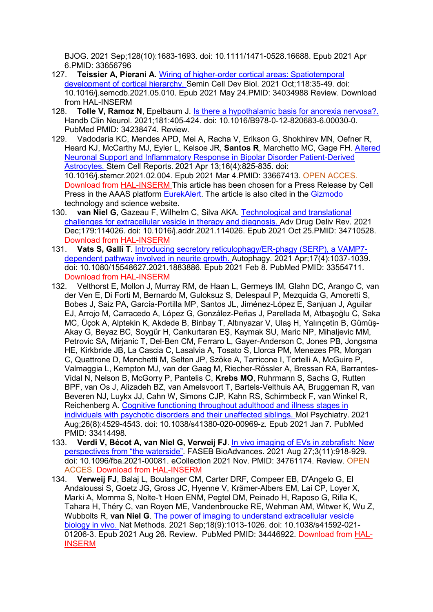BJOG. 2021 Sep;128(10):1683-1693. doi: 10.1111/1471-0528.16688. Epub 2021 Apr 6.PMID: 33656796

- 127. **Teissier A, Pierani A**. [Wiring of higher-order cortical areas: Spatiotemporal](https://www.ncbi.nlm.nih.gov/pubmed/34034988/)  [development of cortical hierarchy. S](https://www.ncbi.nlm.nih.gov/pubmed/34034988/)emin Cell Dev Biol. 2021 Oct;118:35-49. doi: 10.1016/j.semcdb.2021.05.010. Epub 2021 May 24.PMID: 34034988 Review. Download from HAL-INSERM
- 128. **Tolle V, Ramoz N**, Epelbaum J. Is there a hypothalamic basis for anorexia nervosa?. Handb Clin Neurol. 2021;181:405-424. doi: 10.1016/B978-0-12-820683-6.00030-0. PubMed PMID: 34238474. Review.
- 129. Vadodaria KC, Mendes APD, Mei A, Racha V, Erikson G, Shokhirev MN, Oefner R, Heard KJ, McCarthy MJ, Eyler L, Kelsoe JR, **Santos R**, Marchetto MC, Gage FH. [Altered](https://www.ncbi.nlm.nih.gov/pubmed/33667413/)  [Neuronal Support and Inflammatory Response in Bipolar Disorder Patient-Derived](https://www.ncbi.nlm.nih.gov/pubmed/33667413/)  [Astrocytes. S](https://www.ncbi.nlm.nih.gov/pubmed/33667413/)tem Cell Reports. 2021 Apr 13;16(4):825-835. doi: 10.1016/j.stemcr.2021.02.004. Epub 2021 Mar 4.PMID: 33667413. OPEN ACCES. Download from [HAL-INSERM](https://www.hal.inserm.fr/inserm-03161941) This article has been chosen for a Press Release by Cell Press in the AAAS platform [EurekAlert.](https://new.eurekalert.org/pub_releases/2021-03/cp-adf022521.php) The article is also cited in the [Gizmodo](https://gizmodo.com/scientists-find-link-between-bipolar-disorder-and-neuro-1846405526?rev=1614872624917) technology and science website.
- 130. **van Niel G**, Gazeau F, Wilhelm C, Silva AKA. [Technological and translational](https://www.ncbi.nlm.nih.gov/pubmed/34710528/)  [challenges for extracellular vesicle in therapy and diagnosis. A](https://www.ncbi.nlm.nih.gov/pubmed/34710528/)dv Drug Deliv Rev. 2021 Dec;179:114026. doi: 10.1016/j.addr.2021.114026. Epub 2021 Oct 25.PMID: 34710528. Download from [HAL-INSERM](https://www.hal.inserm.fr/inserm-03421395)
- 131. **Vats S, Galli T**. [Introducing secretory reticulophagy/ER-phagy \(SERP\), a VAMP7](https://www.ncbi.nlm.nih.gov/pubmed/33554711/) [dependent pathway involved in neurite growth. A](https://www.ncbi.nlm.nih.gov/pubmed/33554711/)utophagy. 2021 Apr;17(4):1037-1039. doi: 10.1080/15548627.2021.1883886. Epub 2021 Feb 8. PubMed PMID: 33554711. Download from [HAL-INSERM](https://www.hal.inserm.fr/inserm-03139860)
- 132. Velthorst E, Mollon J, Murray RM, de Haan L, Germeys IM, Glahn DC, Arango C, van der Ven E, Di Forti M, Bernardo M, Guloksuz S, Delespaul P, Mezquida G, Amoretti S, Bobes J, Saiz PA, García-Portilla MP, Santos JL, Jiménez-López E, Sanjuan J, Aguilar EJ, Arrojo M, Carracedo A, López G, González-Peñas J, Parellada M, Atbaşoğlu C, Saka MC, Üçok A, Alptekin K, Akdede B, Binbay T, Altınyazar V, Ulaş H, Yalınçetin B, Gümüş-Akay G, Beyaz BC, Soygür H, Cankurtaran EŞ, Kaymak SU, Maric NP, Mihaljevic MM, Petrovic SA, Mirjanic T, Del-Ben CM, Ferraro L, Gayer-Anderson C, Jones PB, Jongsma HE, Kirkbride JB, La Cascia C, Lasalvia A, Tosato S, Llorca PM, Menezes PR, Morgan C, Quattrone D, Menchetti M, Selten JP, Szöke A, Tarricone I, Tortelli A, McGuire P, Valmaggia L, Kempton MJ, van der Gaag M, Riecher-Rössler A, Bressan RA, Barrantes-Vidal N, Nelson B, McGorry P, Pantelis C, **Krebs MO**, Ruhrmann S, Sachs G, Rutten BPF, van Os J, Alizadeh BZ, van Amelsvoort T, Bartels-Velthuis AA, Bruggeman R, van Beveren NJ, Luykx JJ, Cahn W, Simons CJP, Kahn RS, Schirmbeck F, van Winkel R, Reichenberg A. [Cognitive functioning throughout adulthood and illness stages in](https://www.ncbi.nlm.nih.gov/pubmed/33414498/)  [individuals with psychotic disorders and their unaffected siblings. M](https://www.ncbi.nlm.nih.gov/pubmed/33414498/)ol Psychiatry. 2021 Aug;26(8):4529-4543. doi: 10.1038/s41380-020-00969-z. Epub 2021 Jan 7. PubMed PMID: 33414498.
- 133. **Verdi V, Bécot A, van Niel G, Verweij FJ**. [In vivo imaging of EVs in zebrafish: New](https://faseb.onlinelibrary.wiley.com/doi/10.1096/fba.2021-00081)  [perspectives from "the waterside".](https://faseb.onlinelibrary.wiley.com/doi/10.1096/fba.2021-00081) FASEB BioAdvances. 2021 Aug 27;3(11):918-929. doi: 10.1096/fba.2021-00081. eCollection 2021 Nov. PMID: 34761174. Review. OPEN ACCES. Download from [HAL-INSERM](https://www.hal.inserm.fr/inserm-03336284)
- 134. **Verweij FJ**, Balaj L, Boulanger CM, Carter DRF, Compeer EB, D'Angelo G, El Andaloussi S, Goetz JG, Gross JC, Hyenne V, Krämer-Albers EM, Lai CP, Loyer X, Marki A, Momma S, Nolte-'t Hoen ENM, Pegtel DM, Peinado H, Raposo G, Rilla K, Tahara H, Théry C, van Royen ME, Vandenbroucke RE, Wehman AM, Witwer K, Wu Z, Wubbolts R, **van Niel G**. [The power of imaging to understand extracellular vesicle](https://www.ncbi.nlm.nih.gov/pubmed/34446922/)  [biology in vivo. N](https://www.ncbi.nlm.nih.gov/pubmed/34446922/)at Methods. 2021 Sep;18(9):1013-1026. doi: 10.1038/s41592-021- 01206-3. Epub 2021 Aug 26. Review. PubMed PMID: 34446922. Download from [HAL-](https://www.hal.inserm.fr/inserm-03358087)[INSERM](https://www.hal.inserm.fr/inserm-03358087)